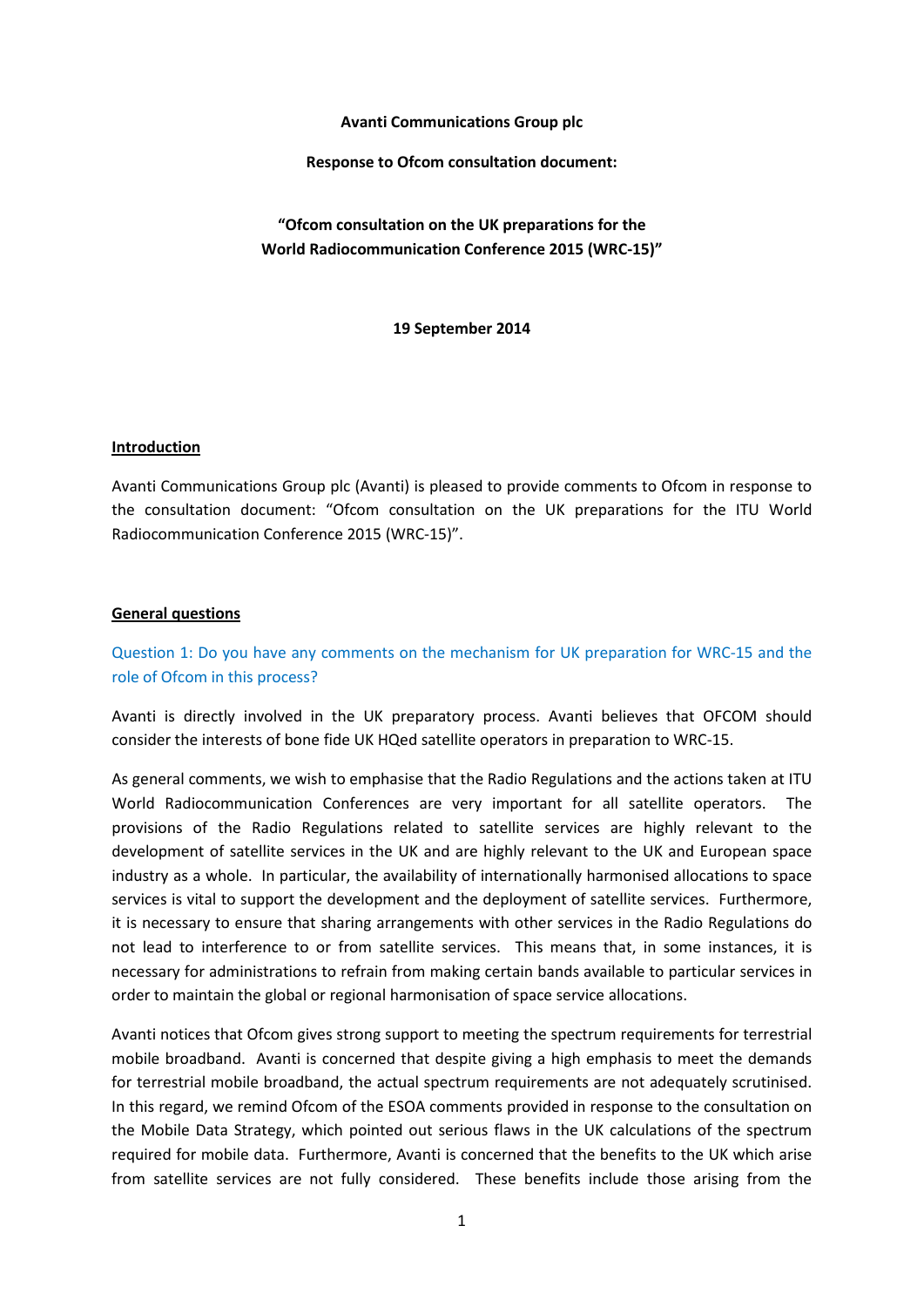#### **Avanti Communications Group plc**

#### **Response to Ofcom consultation document:**

**"Ofcom consultation on the UK preparations for the World Radiocommunication Conference 2015 (WRC-15)"**

**19 September 2014**

### **Introduction**

Avanti Communications Group plc (Avanti) is pleased to provide comments to Ofcom in response to the consultation document: "Ofcom consultation on the UK preparations for the ITU World Radiocommunication Conference 2015 (WRC-15)".

#### **General questions**

Question 1: Do you have any comments on the mechanism for UK preparation for WRC-15 and the role of Ofcom in this process?

Avanti is directly involved in the UK preparatory process. Avanti believes that OFCOM should consider the interests of bone fide UK HQed satellite operators in preparation to WRC-15.

As general comments, we wish to emphasise that the Radio Regulations and the actions taken at ITU World Radiocommunication Conferences are very important for all satellite operators. The provisions of the Radio Regulations related to satellite services are highly relevant to the development of satellite services in the UK and are highly relevant to the UK and European space industry as a whole. In particular, the availability of internationally harmonised allocations to space services is vital to support the development and the deployment of satellite services. Furthermore, it is necessary to ensure that sharing arrangements with other services in the Radio Regulations do not lead to interference to or from satellite services. This means that, in some instances, it is necessary for administrations to refrain from making certain bands available to particular services in order to maintain the global or regional harmonisation of space service allocations.

Avanti notices that Ofcom gives strong support to meeting the spectrum requirements for terrestrial mobile broadband. Avanti is concerned that despite giving a high emphasis to meet the demands for terrestrial mobile broadband, the actual spectrum requirements are not adequately scrutinised. In this regard, we remind Ofcom of the ESOA comments provided in response to the consultation on the Mobile Data Strategy, which pointed out serious flaws in the UK calculations of the spectrum required for mobile data. Furthermore, Avanti is concerned that the benefits to the UK which arise from satellite services are not fully considered. These benefits include those arising from the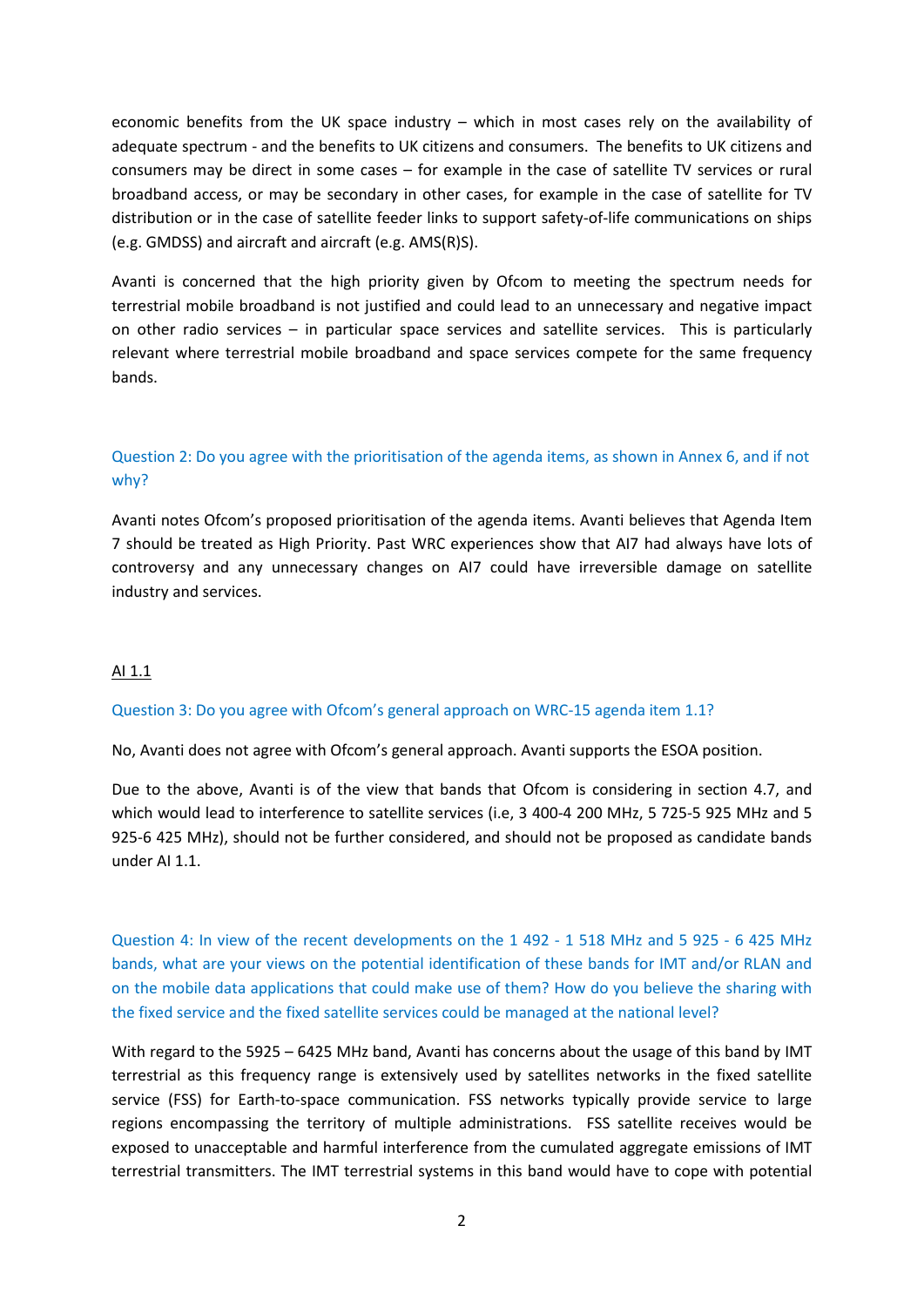economic benefits from the UK space industry – which in most cases rely on the availability of adequate spectrum - and the benefits to UK citizens and consumers. The benefits to UK citizens and consumers may be direct in some cases – for example in the case of satellite TV services or rural broadband access, or may be secondary in other cases, for example in the case of satellite for TV distribution or in the case of satellite feeder links to support safety-of-life communications on ships (e.g. GMDSS) and aircraft and aircraft (e.g. AMS(R)S).

Avanti is concerned that the high priority given by Ofcom to meeting the spectrum needs for terrestrial mobile broadband is not justified and could lead to an unnecessary and negative impact on other radio services – in particular space services and satellite services. This is particularly relevant where terrestrial mobile broadband and space services compete for the same frequency bands.

# Question 2: Do you agree with the prioritisation of the agenda items, as shown in Annex 6, and if not why?

Avanti notes Ofcom's proposed prioritisation of the agenda items. Avanti believes that Agenda Item 7 should be treated as High Priority. Past WRC experiences show that AI7 had always have lots of controversy and any unnecessary changes on AI7 could have irreversible damage on satellite industry and services.

### AI 1.1

### Question 3: Do you agree with Ofcom's general approach on WRC-15 agenda item 1.1?

No, Avanti does not agree with Ofcom's general approach. Avanti supports the ESOA position.

Due to the above, Avanti is of the view that bands that Ofcom is considering in section 4.7, and which would lead to interference to satellite services (i.e, 3 400-4 200 MHz, 5 725-5 925 MHz and 5 925-6 425 MHz), should not be further considered, and should not be proposed as candidate bands under AI 1.1.

Question 4: In view of the recent developments on the 1 492 - 1 518 MHz and 5 925 - 6 425 MHz bands, what are your views on the potential identification of these bands for IMT and/or RLAN and on the mobile data applications that could make use of them? How do you believe the sharing with the fixed service and the fixed satellite services could be managed at the national level?

With regard to the 5925 – 6425 MHz band, Avanti has concerns about the usage of this band by IMT terrestrial as this frequency range is extensively used by satellites networks in the fixed satellite service (FSS) for Earth-to-space communication. FSS networks typically provide service to large regions encompassing the territory of multiple administrations. FSS satellite receives would be exposed to unacceptable and harmful interference from the cumulated aggregate emissions of IMT terrestrial transmitters. The IMT terrestrial systems in this band would have to cope with potential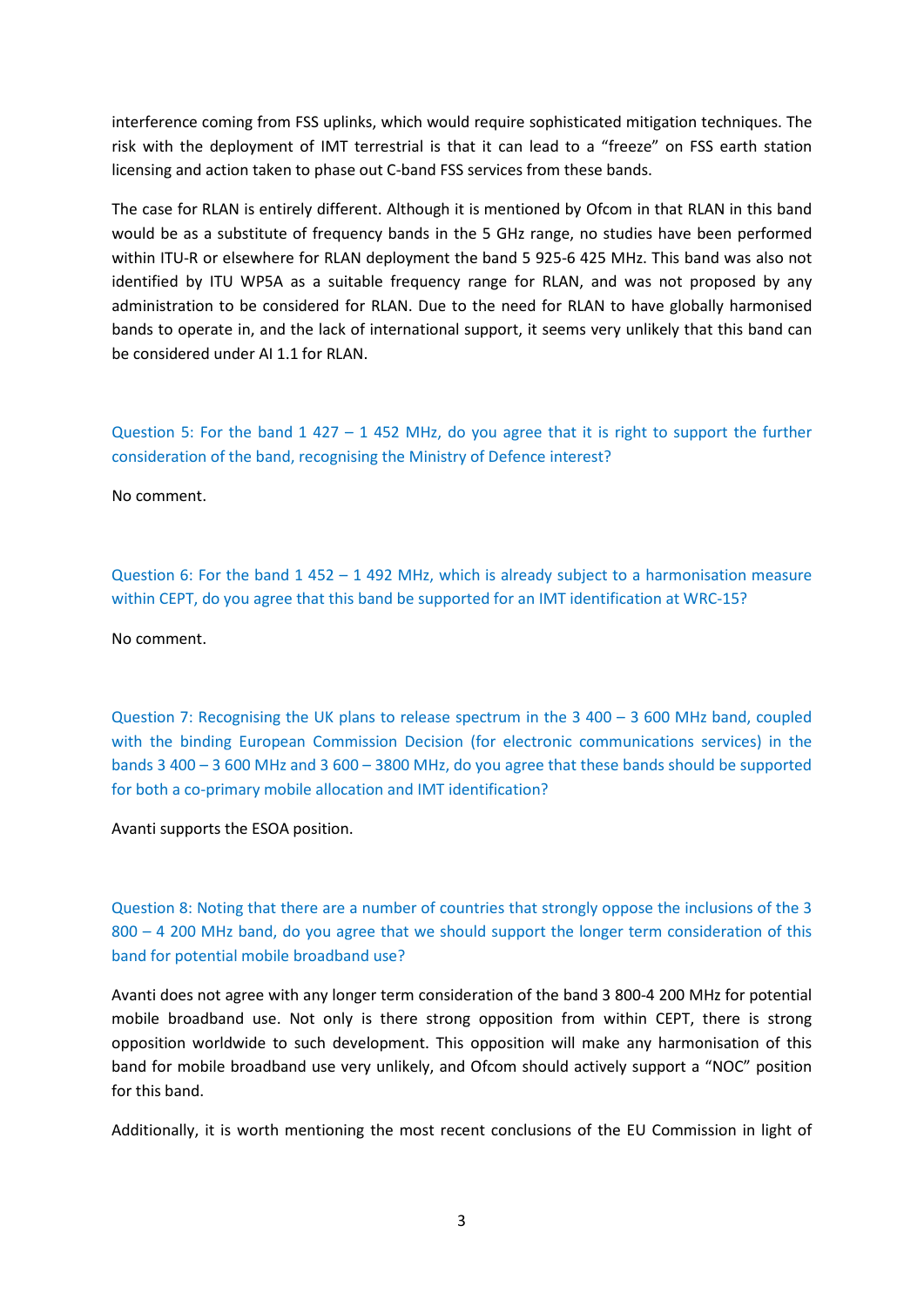interference coming from FSS uplinks, which would require sophisticated mitigation techniques. The risk with the deployment of IMT terrestrial is that it can lead to a "freeze" on FSS earth station licensing and action taken to phase out C-band FSS services from these bands.

The case for RLAN is entirely different. Although it is mentioned by Ofcom in that RLAN in this band would be as a substitute of frequency bands in the 5 GHz range, no studies have been performed within ITU-R or elsewhere for RLAN deployment the band 5 925-6 425 MHz. This band was also not identified by ITU WP5A as a suitable frequency range for RLAN, and was not proposed by any administration to be considered for RLAN. Due to the need for RLAN to have globally harmonised bands to operate in, and the lack of international support, it seems very unlikely that this band can be considered under AI 1.1 for RLAN.

Question 5: For the band 1 427 – 1 452 MHz, do you agree that it is right to support the further consideration of the band, recognising the Ministry of Defence interest?

No comment.

Question 6: For the band 1 452 – 1 492 MHz, which is already subject to a harmonisation measure within CEPT, do you agree that this band be supported for an IMT identification at WRC-15?

No comment.

Question 7: Recognising the UK plans to release spectrum in the 3 400 – 3 600 MHz band, coupled with the binding European Commission Decision (for electronic communications services) in the bands 3 400 – 3 600 MHz and 3 600 – 3800 MHz, do you agree that these bands should be supported for both a co-primary mobile allocation and IMT identification?

Avanti supports the ESOA position.

Question 8: Noting that there are a number of countries that strongly oppose the inclusions of the 3 800 – 4 200 MHz band, do you agree that we should support the longer term consideration of this band for potential mobile broadband use?

Avanti does not agree with any longer term consideration of the band 3 800-4 200 MHz for potential mobile broadband use. Not only is there strong opposition from within CEPT, there is strong opposition worldwide to such development. This opposition will make any harmonisation of this band for mobile broadband use very unlikely, and Ofcom should actively support a "NOC" position for this band.

Additionally, it is worth mentioning the most recent conclusions of the EU Commission in light of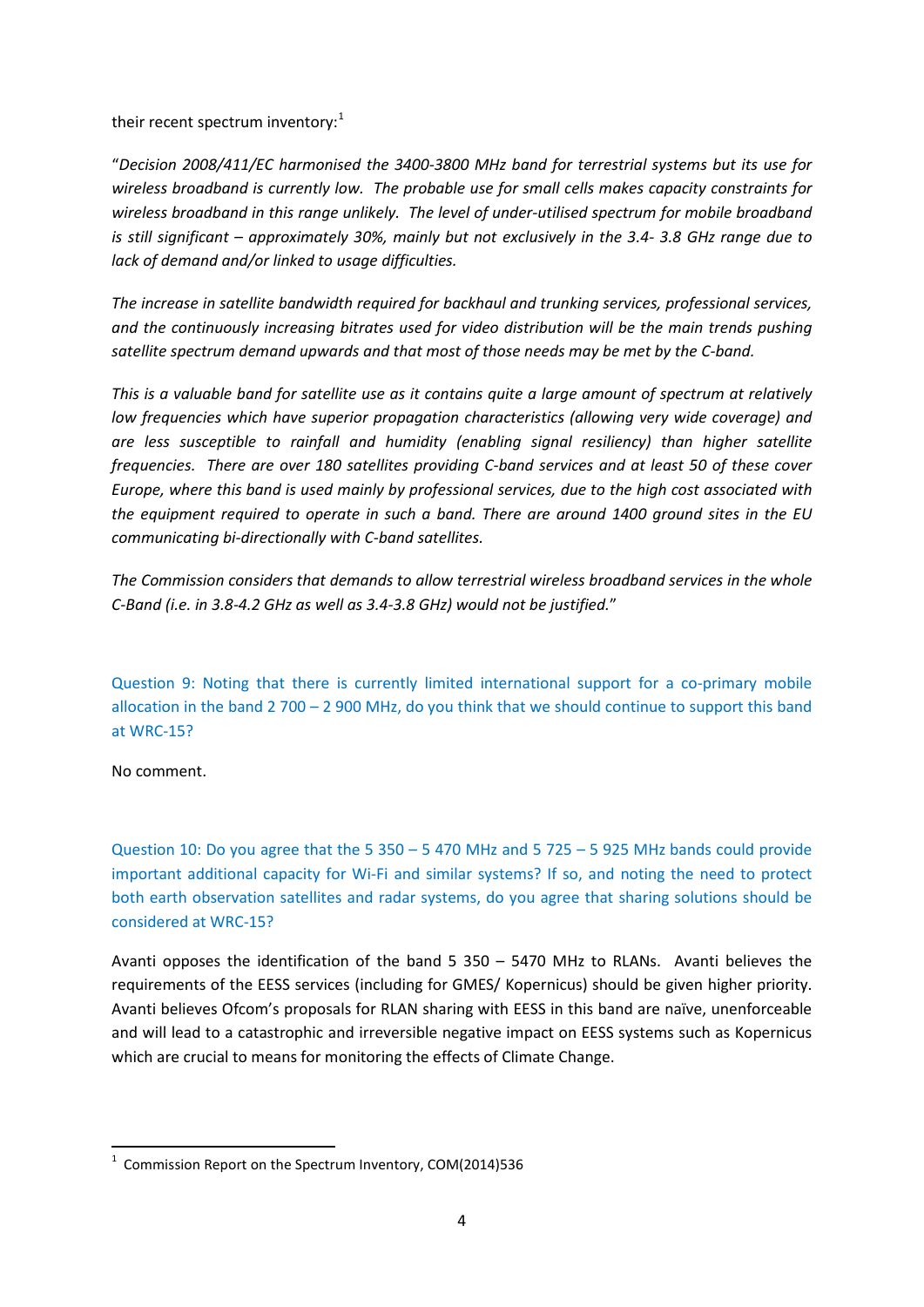their recent spectrum inventory: $1$ 

"*Decision 2008/411/EC harmonised the 3400-3800 MHz band for terrestrial systems but its use for wireless broadband is currently low. The probable use for small cells makes capacity constraints for wireless broadband in this range unlikely. The level of under-utilised spectrum for mobile broadband is still significant – approximately 30%, mainly but not exclusively in the 3.4- 3.8 GHz range due to lack of demand and/or linked to usage difficulties.* 

*The increase in satellite bandwidth required for backhaul and trunking services, professional services, and the continuously increasing bitrates used for video distribution will be the main trends pushing satellite spectrum demand upwards and that most of those needs may be met by the C-band.* 

*This is a valuable band for satellite use as it contains quite a large amount of spectrum at relatively low frequencies which have superior propagation characteristics (allowing very wide coverage) and are less susceptible to rainfall and humidity (enabling signal resiliency) than higher satellite frequencies. There are over 180 satellites providing C-band services and at least 50 of these cover Europe, where this band is used mainly by professional services, due to the high cost associated with the equipment required to operate in such a band. There are around 1400 ground sites in the EU communicating bi-directionally with C-band satellites.*

*The Commission considers that demands to allow terrestrial wireless broadband services in the whole C-Band (i.e. in 3.8-4.2 GHz as well as 3.4-3.8 GHz) would not be justified.*"

Question 9: Noting that there is currently limited international support for a co-primary mobile allocation in the band 2 700 – 2 900 MHz, do you think that we should continue to support this band at WRC-15?

No comment.

Question 10: Do you agree that the 5 350 – 5 470 MHz and 5 725 – 5 925 MHz bands could provide important additional capacity for Wi-Fi and similar systems? If so, and noting the need to protect both earth observation satellites and radar systems, do you agree that sharing solutions should be considered at WRC-15?

Avanti opposes the identification of the band  $5$  350 – 5470 MHz to RLANs. Avanti believes the requirements of the EESS services (including for GMES/ Kopernicus) should be given higher priority. Avanti believes Ofcom's proposals for RLAN sharing with EESS in this band are naïve, unenforceable and will lead to a catastrophic and irreversible negative impact on EESS systems such as Kopernicus which are crucial to means for monitoring the effects of Climate Change.

<span id="page-3-0"></span> $1$  Commission Report on the Spectrum Inventory, COM(2014)536  $\overline{a}$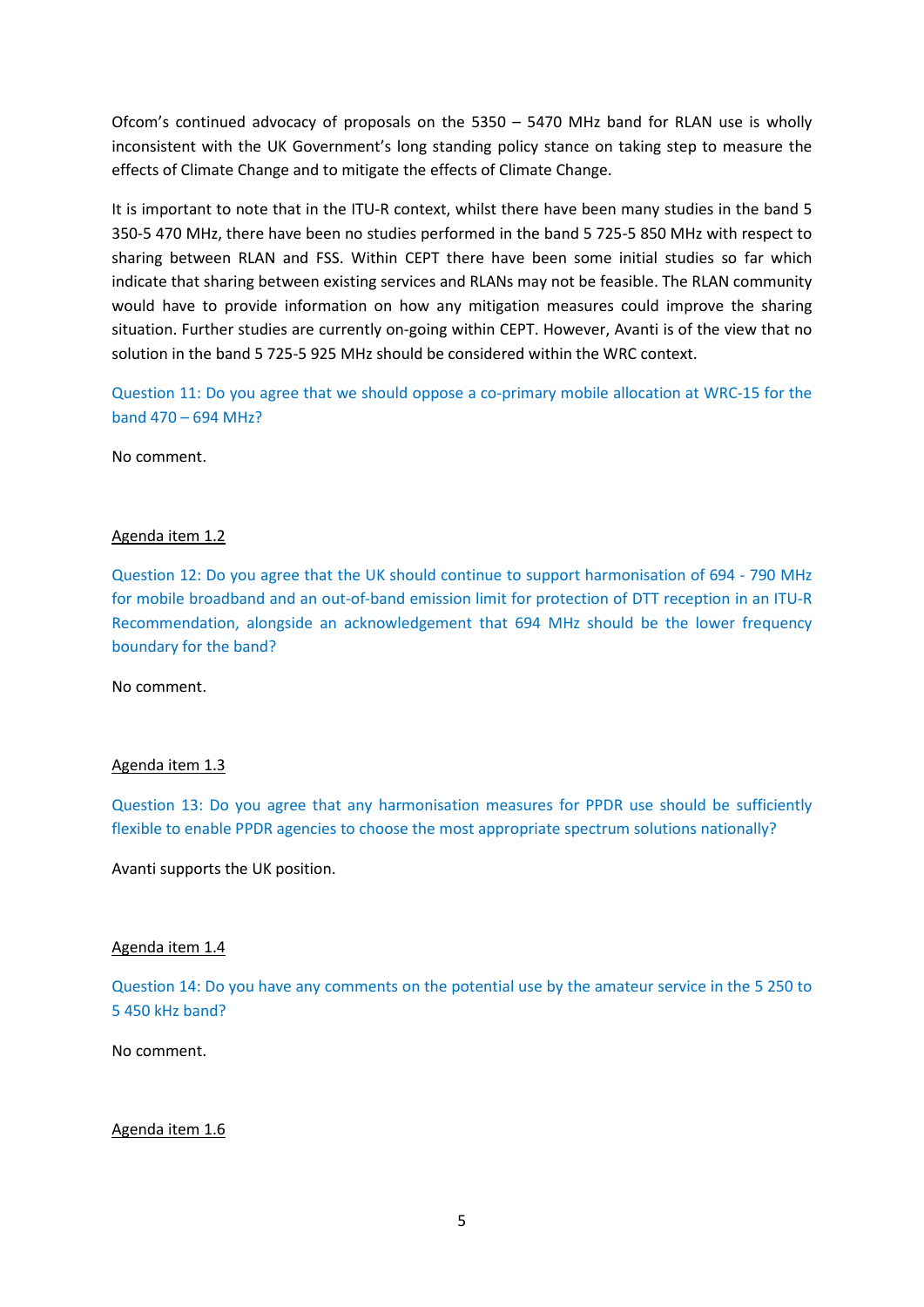Ofcom's continued advocacy of proposals on the 5350 – 5470 MHz band for RLAN use is wholly inconsistent with the UK Government's long standing policy stance on taking step to measure the effects of Climate Change and to mitigate the effects of Climate Change.

It is important to note that in the ITU-R context, whilst there have been many studies in the band 5 350-5 470 MHz, there have been no studies performed in the band 5 725-5 850 MHz with respect to sharing between RLAN and FSS. Within CEPT there have been some initial studies so far which indicate that sharing between existing services and RLANs may not be feasible. The RLAN community would have to provide information on how any mitigation measures could improve the sharing situation. Further studies are currently on-going within CEPT. However, Avanti is of the view that no solution in the band 5 725-5 925 MHz should be considered within the WRC context.

Question 11: Do you agree that we should oppose a co-primary mobile allocation at WRC-15 for the band 470 – 694 MHz?

No comment.

### Agenda item 1.2

Question 12: Do you agree that the UK should continue to support harmonisation of 694 - 790 MHz for mobile broadband and an out-of-band emission limit for protection of DTT reception in an ITU-R Recommendation, alongside an acknowledgement that 694 MHz should be the lower frequency boundary for the band?

No comment.

### Agenda item 1.3

Question 13: Do you agree that any harmonisation measures for PPDR use should be sufficiently flexible to enable PPDR agencies to choose the most appropriate spectrum solutions nationally?

Avanti supports the UK position.

#### Agenda item 1.4

Question 14: Do you have any comments on the potential use by the amateur service in the 5 250 to 5 450 kHz band?

No comment.

#### Agenda item 1.6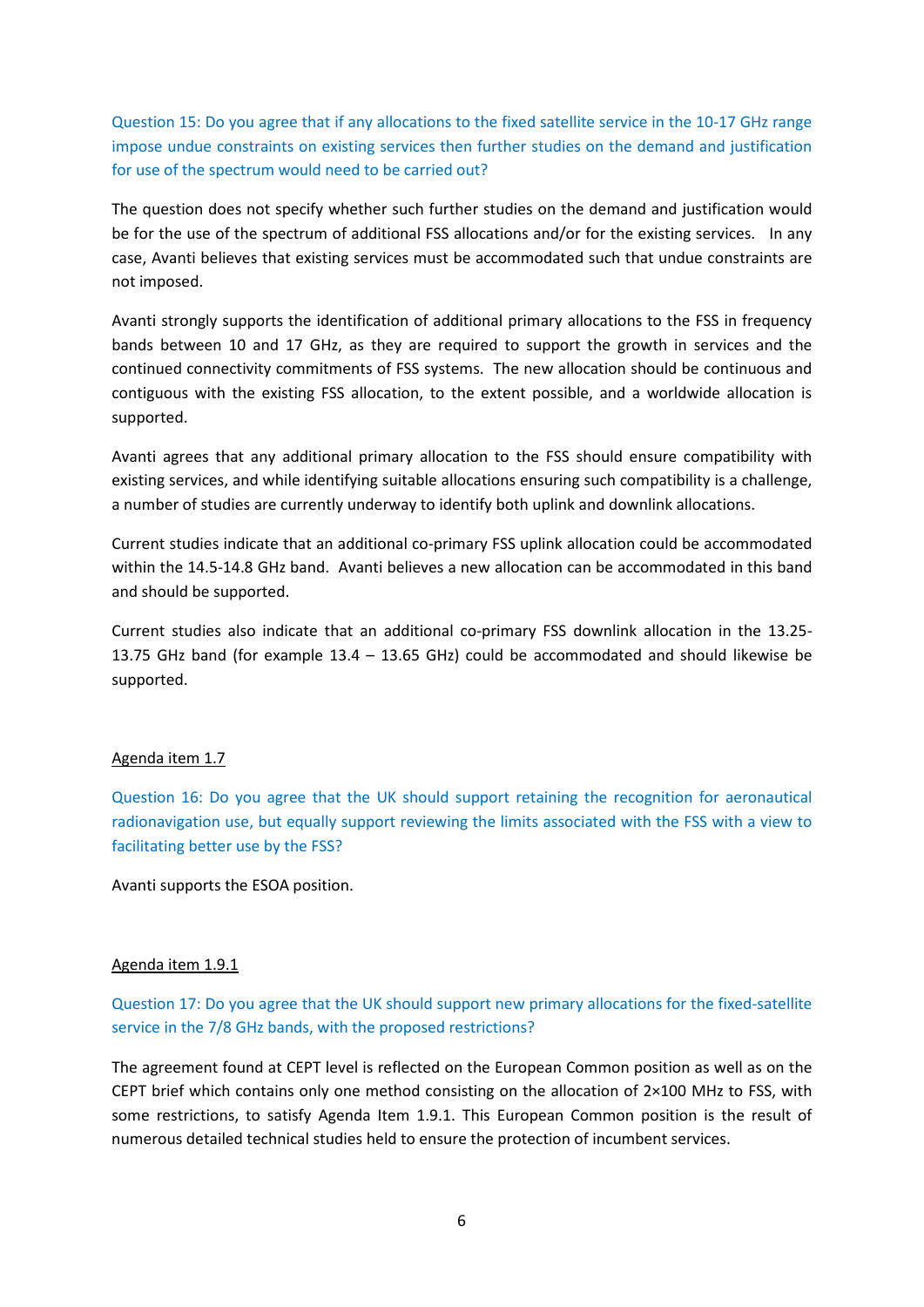Question 15: Do you agree that if any allocations to the fixed satellite service in the 10-17 GHz range impose undue constraints on existing services then further studies on the demand and justification for use of the spectrum would need to be carried out?

The question does not specify whether such further studies on the demand and justification would be for the use of the spectrum of additional FSS allocations and/or for the existing services. In any case, Avanti believes that existing services must be accommodated such that undue constraints are not imposed.

Avanti strongly supports the identification of additional primary allocations to the FSS in frequency bands between 10 and 17 GHz, as they are required to support the growth in services and the continued connectivity commitments of FSS systems. The new allocation should be continuous and contiguous with the existing FSS allocation, to the extent possible, and a worldwide allocation is supported.

Avanti agrees that any additional primary allocation to the FSS should ensure compatibility with existing services, and while identifying suitable allocations ensuring such compatibility is a challenge, a number of studies are currently underway to identify both uplink and downlink allocations.

Current studies indicate that an additional co-primary FSS uplink allocation could be accommodated within the 14.5-14.8 GHz band. Avanti believes a new allocation can be accommodated in this band and should be supported.

Current studies also indicate that an additional co-primary FSS downlink allocation in the 13.25- 13.75 GHz band (for example 13.4 – 13.65 GHz) could be accommodated and should likewise be supported.

### Agenda item 1.7

Question 16: Do you agree that the UK should support retaining the recognition for aeronautical radionavigation use, but equally support reviewing the limits associated with the FSS with a view to facilitating better use by the FSS?

Avanti supports the ESOA position.

#### Agenda item 1.9.1

Question 17: Do you agree that the UK should support new primary allocations for the fixed-satellite service in the 7/8 GHz bands, with the proposed restrictions?

The agreement found at CEPT level is reflected on the European Common position as well as on the CEPT brief which contains only one method consisting on the allocation of 2×100 MHz to FSS, with some restrictions, to satisfy Agenda Item 1.9.1. This European Common position is the result of numerous detailed technical studies held to ensure the protection of incumbent services.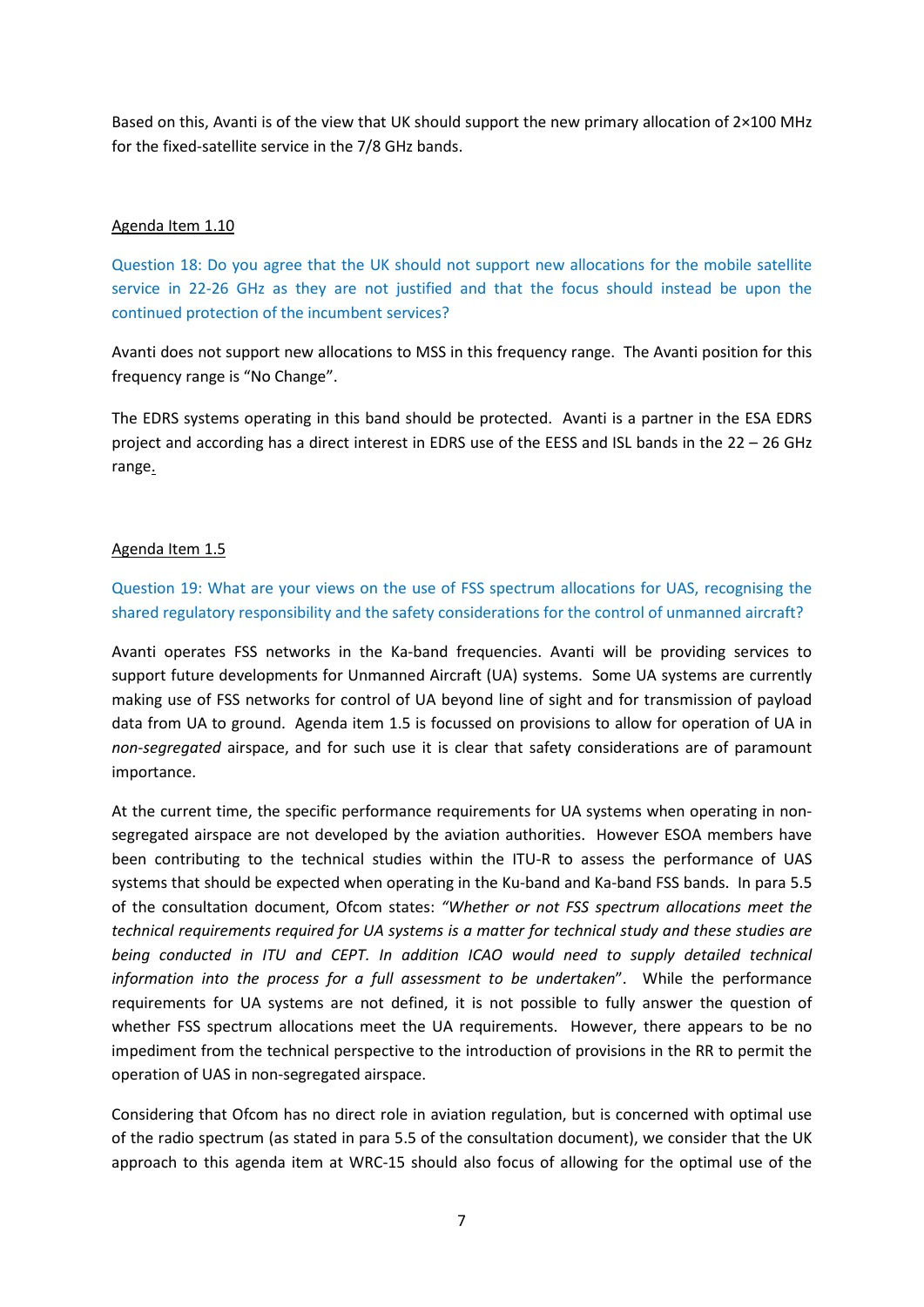Based on this, Avanti is of the view that UK should support the new primary allocation of 2×100 MHz for the fixed-satellite service in the 7/8 GHz bands.

### Agenda Item 1.10

Question 18: Do you agree that the UK should not support new allocations for the mobile satellite service in 22-26 GHz as they are not justified and that the focus should instead be upon the continued protection of the incumbent services?

Avanti does not support new allocations to MSS in this frequency range. The Avanti position for this frequency range is "No Change".

The EDRS systems operating in this band should be protected. Avanti is a partner in the ESA EDRS project and according has a direct interest in EDRS use of the EESS and ISL bands in the 22 – 26 GHz range.

### Agenda Item 1.5

Question 19: What are your views on the use of FSS spectrum allocations for UAS, recognising the shared regulatory responsibility and the safety considerations for the control of unmanned aircraft?

Avanti operates FSS networks in the Ka-band frequencies. Avanti will be providing services to support future developments for Unmanned Aircraft (UA) systems. Some UA systems are currently making use of FSS networks for control of UA beyond line of sight and for transmission of payload data from UA to ground. Agenda item 1.5 is focussed on provisions to allow for operation of UA in *non-segregated* airspace, and for such use it is clear that safety considerations are of paramount importance.

At the current time, the specific performance requirements for UA systems when operating in nonsegregated airspace are not developed by the aviation authorities. However ESOA members have been contributing to the technical studies within the ITU-R to assess the performance of UAS systems that should be expected when operating in the Ku-band and Ka-band FSS bands. In para 5.5 of the consultation document, Ofcom states: *"Whether or not FSS spectrum allocations meet the technical requirements required for UA systems is a matter for technical study and these studies are being conducted in ITU and CEPT. In addition ICAO would need to supply detailed technical information into the process for a full assessment to be undertaken*". While the performance requirements for UA systems are not defined, it is not possible to fully answer the question of whether FSS spectrum allocations meet the UA requirements. However, there appears to be no impediment from the technical perspective to the introduction of provisions in the RR to permit the operation of UAS in non-segregated airspace.

Considering that Ofcom has no direct role in aviation regulation, but is concerned with optimal use of the radio spectrum (as stated in para 5.5 of the consultation document), we consider that the UK approach to this agenda item at WRC-15 should also focus of allowing for the optimal use of the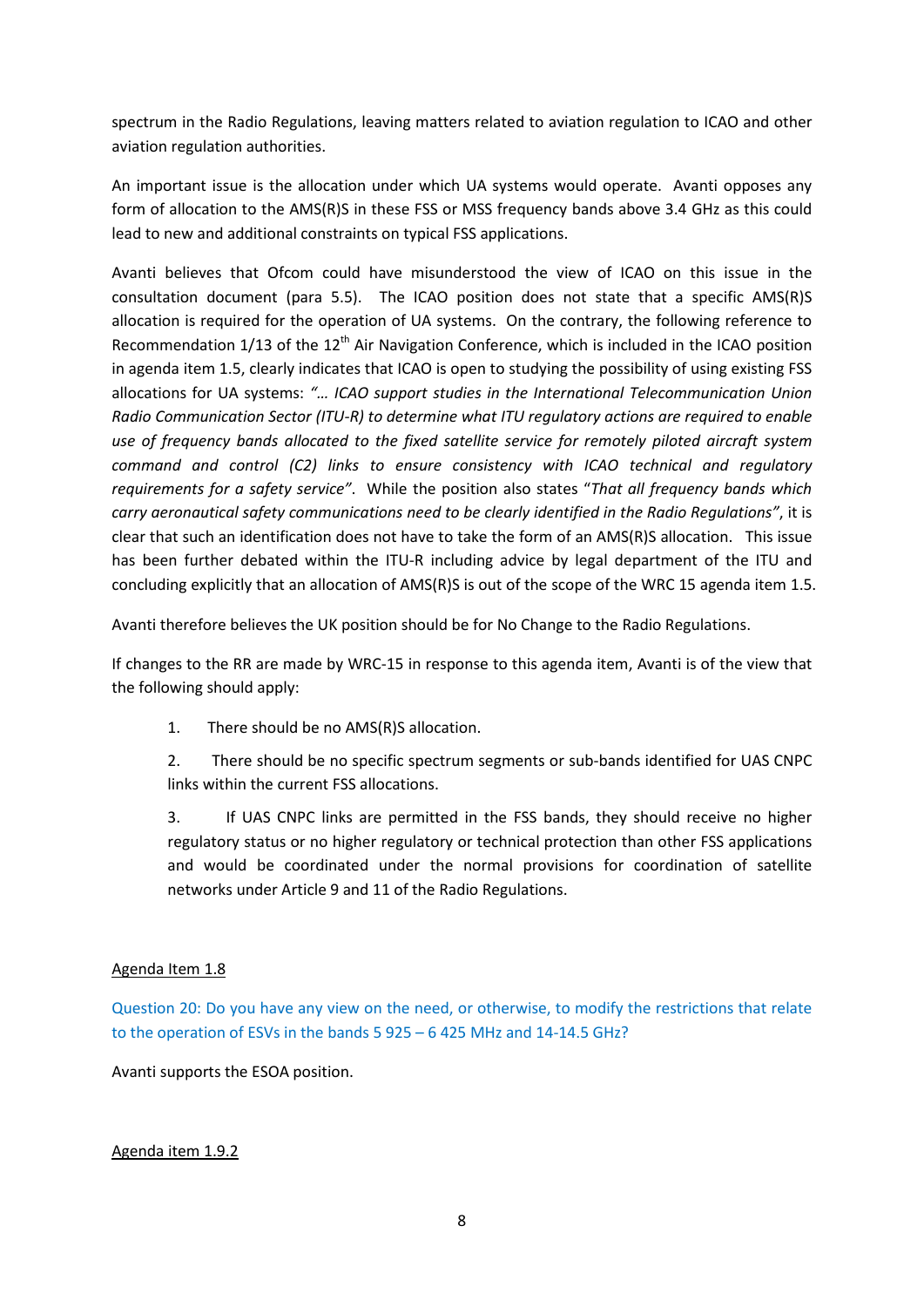spectrum in the Radio Regulations, leaving matters related to aviation regulation to ICAO and other aviation regulation authorities.

An important issue is the allocation under which UA systems would operate. Avanti opposes any form of allocation to the AMS(R)S in these FSS or MSS frequency bands above 3.4 GHz as this could lead to new and additional constraints on typical FSS applications.

Avanti believes that Ofcom could have misunderstood the view of ICAO on this issue in the consultation document (para 5.5). The ICAO position does not state that a specific AMS(R)S allocation is required for the operation of UA systems. On the contrary, the following reference to Recommendation  $1/13$  of the  $12<sup>th</sup>$  Air Navigation Conference, which is included in the ICAO position in agenda item 1.5, clearly indicates that ICAO is open to studying the possibility of using existing FSS allocations for UA systems: *"… ICAO support studies in the International Telecommunication Union Radio Communication Sector (ITU-R) to determine what ITU regulatory actions are required to enable use of frequency bands allocated to the fixed satellite service for remotely piloted aircraft system command and control (C2) links to ensure consistency with ICAO technical and regulatory requirements for a safety service"*. While the position also states "*That all frequency bands which carry aeronautical safety communications need to be clearly identified in the Radio Regulations"*, it is clear that such an identification does not have to take the form of an AMS(R)S allocation. This issue has been further debated within the ITU-R including advice by legal department of the ITU and concluding explicitly that an allocation of AMS(R)S is out of the scope of the WRC 15 agenda item 1.5.

Avanti therefore believes the UK position should be for No Change to the Radio Regulations.

If changes to the RR are made by WRC-15 in response to this agenda item, Avanti is of the view that the following should apply:

1. There should be no AMS(R)S allocation.

2. There should be no specific spectrum segments or sub-bands identified for UAS CNPC links within the current FSS allocations.

3. If UAS CNPC links are permitted in the FSS bands, they should receive no higher regulatory status or no higher regulatory or technical protection than other FSS applications and would be coordinated under the normal provisions for coordination of satellite networks under Article 9 and 11 of the Radio Regulations.

### Agenda Item 1.8

Question 20: Do you have any view on the need, or otherwise, to modify the restrictions that relate to the operation of ESVs in the bands 5 925 – 6 425 MHz and 14-14.5 GHz?

Avanti supports the ESOA position.

### Agenda item 1.9.2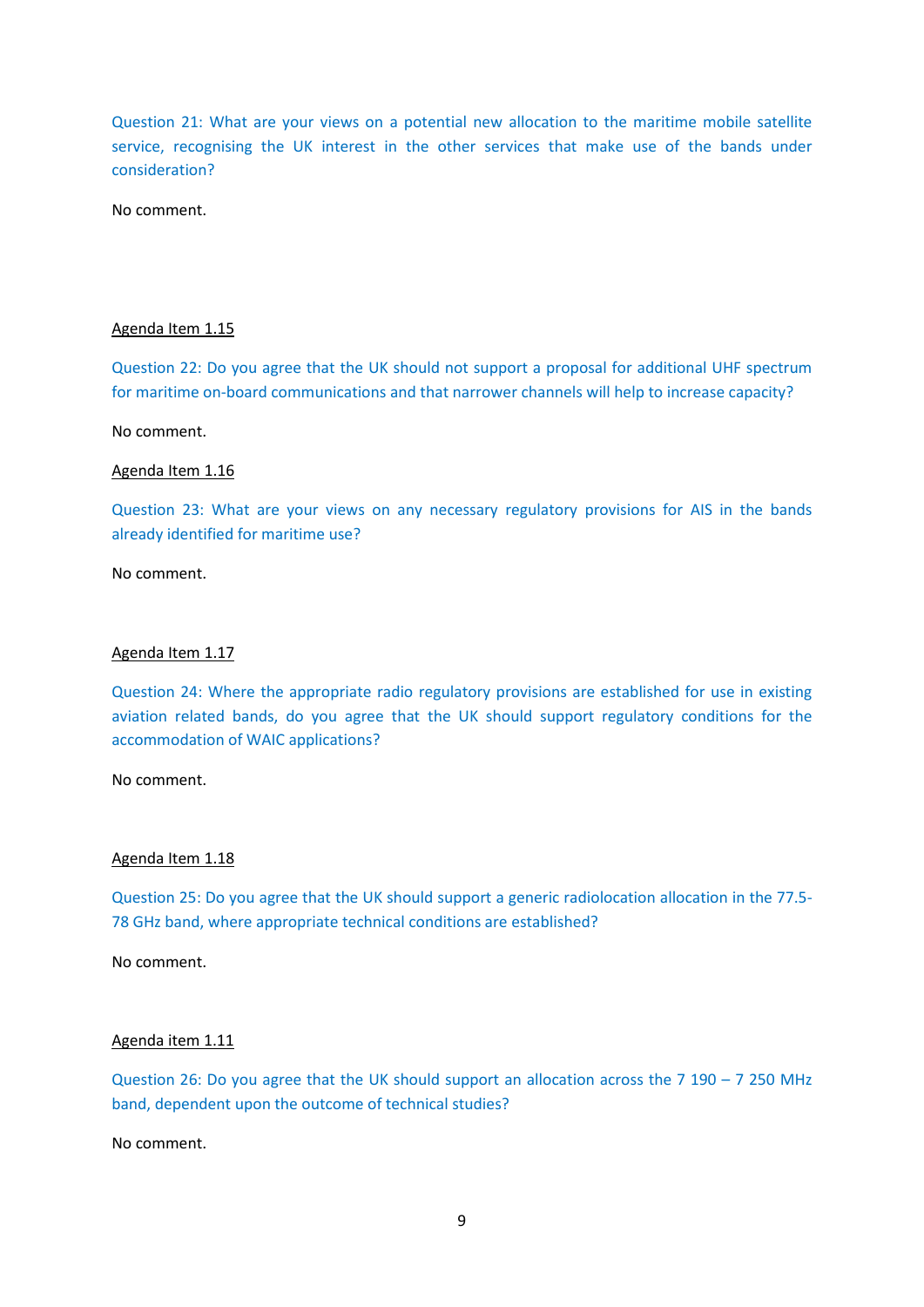Question 21: What are your views on a potential new allocation to the maritime mobile satellite service, recognising the UK interest in the other services that make use of the bands under consideration?

No comment.

#### Agenda Item 1.15

Question 22: Do you agree that the UK should not support a proposal for additional UHF spectrum for maritime on-board communications and that narrower channels will help to increase capacity?

No comment.

#### Agenda Item 1.16

Question 23: What are your views on any necessary regulatory provisions for AIS in the bands already identified for maritime use?

No comment.

#### Agenda Item 1.17

Question 24: Where the appropriate radio regulatory provisions are established for use in existing aviation related bands, do you agree that the UK should support regulatory conditions for the accommodation of WAIC applications?

No comment.

#### Agenda Item 1.18

Question 25: Do you agree that the UK should support a generic radiolocation allocation in the 77.5- 78 GHz band, where appropriate technical conditions are established?

No comment.

#### Agenda item 1.11

Question 26: Do you agree that the UK should support an allocation across the 7 190 – 7 250 MHz band, dependent upon the outcome of technical studies?

No comment.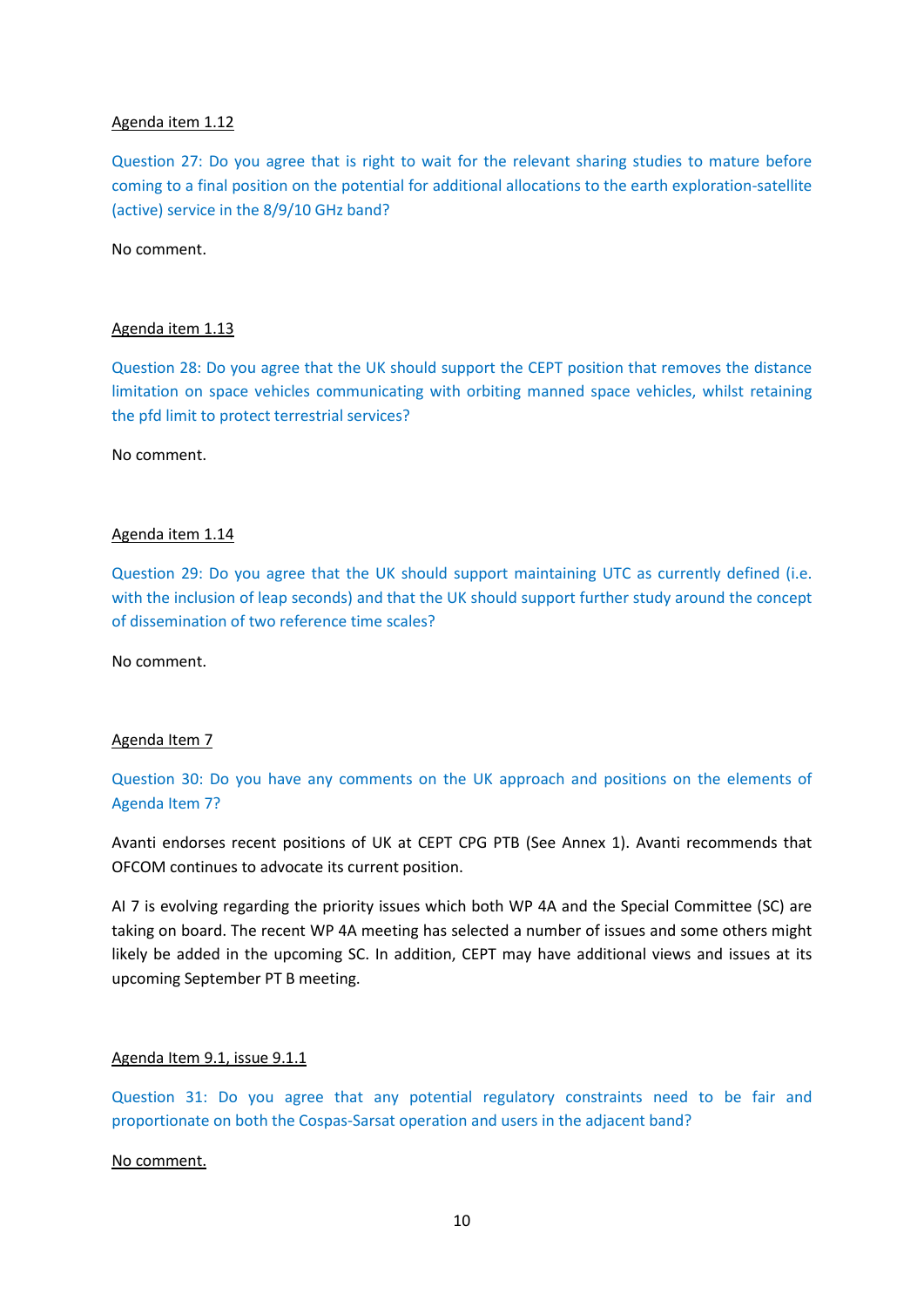### Agenda item 1.12

Question 27: Do you agree that is right to wait for the relevant sharing studies to mature before coming to a final position on the potential for additional allocations to the earth exploration-satellite (active) service in the 8/9/10 GHz band?

No comment.

### Agenda item 1.13

Question 28: Do you agree that the UK should support the CEPT position that removes the distance limitation on space vehicles communicating with orbiting manned space vehicles, whilst retaining the pfd limit to protect terrestrial services?

No comment.

### Agenda item 1.14

Question 29: Do you agree that the UK should support maintaining UTC as currently defined (i.e. with the inclusion of leap seconds) and that the UK should support further study around the concept of dissemination of two reference time scales?

No comment.

### Agenda Item 7

# Question 30: Do you have any comments on the UK approach and positions on the elements of Agenda Item 7?

Avanti endorses recent positions of UK at CEPT CPG PTB (See Annex 1). Avanti recommends that OFCOM continues to advocate its current position.

AI 7 is evolving regarding the priority issues which both WP 4A and the Special Committee (SC) are taking on board. The recent WP 4A meeting has selected a number of issues and some others might likely be added in the upcoming SC. In addition, CEPT may have additional views and issues at its upcoming September PT B meeting.

### Agenda Item 9.1, issue 9.1.1

Question 31: Do you agree that any potential regulatory constraints need to be fair and proportionate on both the Cospas-Sarsat operation and users in the adjacent band?

No comment.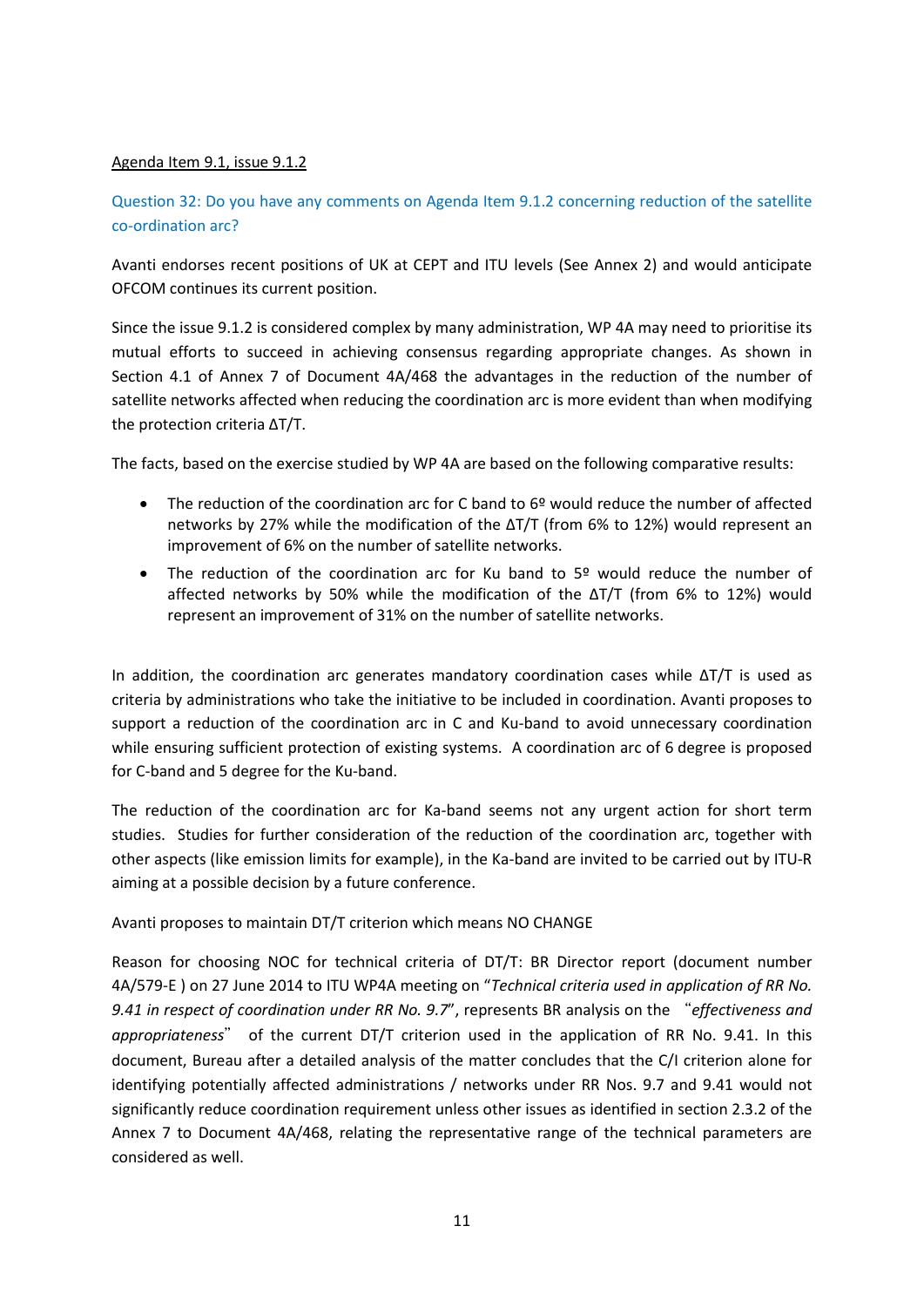### Agenda Item 9.1, issue 9.1.2

## Question 32: Do you have any comments on Agenda Item 9.1.2 concerning reduction of the satellite co-ordination arc?

Avanti endorses recent positions of UK at CEPT and ITU levels (See Annex 2) and would anticipate OFCOM continues its current position.

Since the issue 9.1.2 is considered complex by many administration, WP 4A may need to prioritise its mutual efforts to succeed in achieving consensus regarding appropriate changes. As shown in Section 4.1 of Annex 7 of Document 4A/468 the advantages in the reduction of the number of satellite networks affected when reducing the coordination arc is more evident than when modifying the protection criteria ΔT/T.

The facts, based on the exercise studied by WP 4A are based on the following comparative results:

- The reduction of the coordination arc for C band to  $6<sup>°</sup>$  would reduce the number of affected networks by 27% while the modification of the ΔT/T (from 6% to 12%) would represent an improvement of 6% on the number of satellite networks.
- The reduction of the coordination arc for Ku band to 5º would reduce the number of affected networks by 50% while the modification of the ΔT/T (from 6% to 12%) would represent an improvement of 31% on the number of satellite networks.

In addition, the coordination arc generates mandatory coordination cases while ΔT/T is used as criteria by administrations who take the initiative to be included in coordination. Avanti proposes to support a reduction of the coordination arc in C and Ku-band to avoid unnecessary coordination while ensuring sufficient protection of existing systems. A coordination arc of 6 degree is proposed for C-band and 5 degree for the Ku-band.

The reduction of the coordination arc for Ka-band seems not any urgent action for short term studies. Studies for further consideration of the reduction of the coordination arc, together with other aspects (like emission limits for example), in the Ka-band are invited to be carried out by ITU-R aiming at a possible decision by a future conference.

Avanti proposes to maintain DT/T criterion which means NO CHANGE

Reason for choosing NOC for technical criteria of DT/T: BR Director report (document number 4A/579-E ) on 27 June 2014 to ITU WP4A meeting on "*Technical criteria used in application of RR No. 9.41 in respect of coordination under RR No. 9.7*", represents BR analysis on the "*effectiveness and appropriateness*" of the current DT/T criterion used in the application of RR No. 9.41. In this document, Bureau after a detailed analysis of the matter concludes that the C/I criterion alone for identifying potentially affected administrations / networks under RR Nos. 9.7 and 9.41 would not significantly reduce coordination requirement unless other issues as identified in section 2.3.2 of the Annex 7 to Document 4A/468, relating the representative range of the technical parameters are considered as well.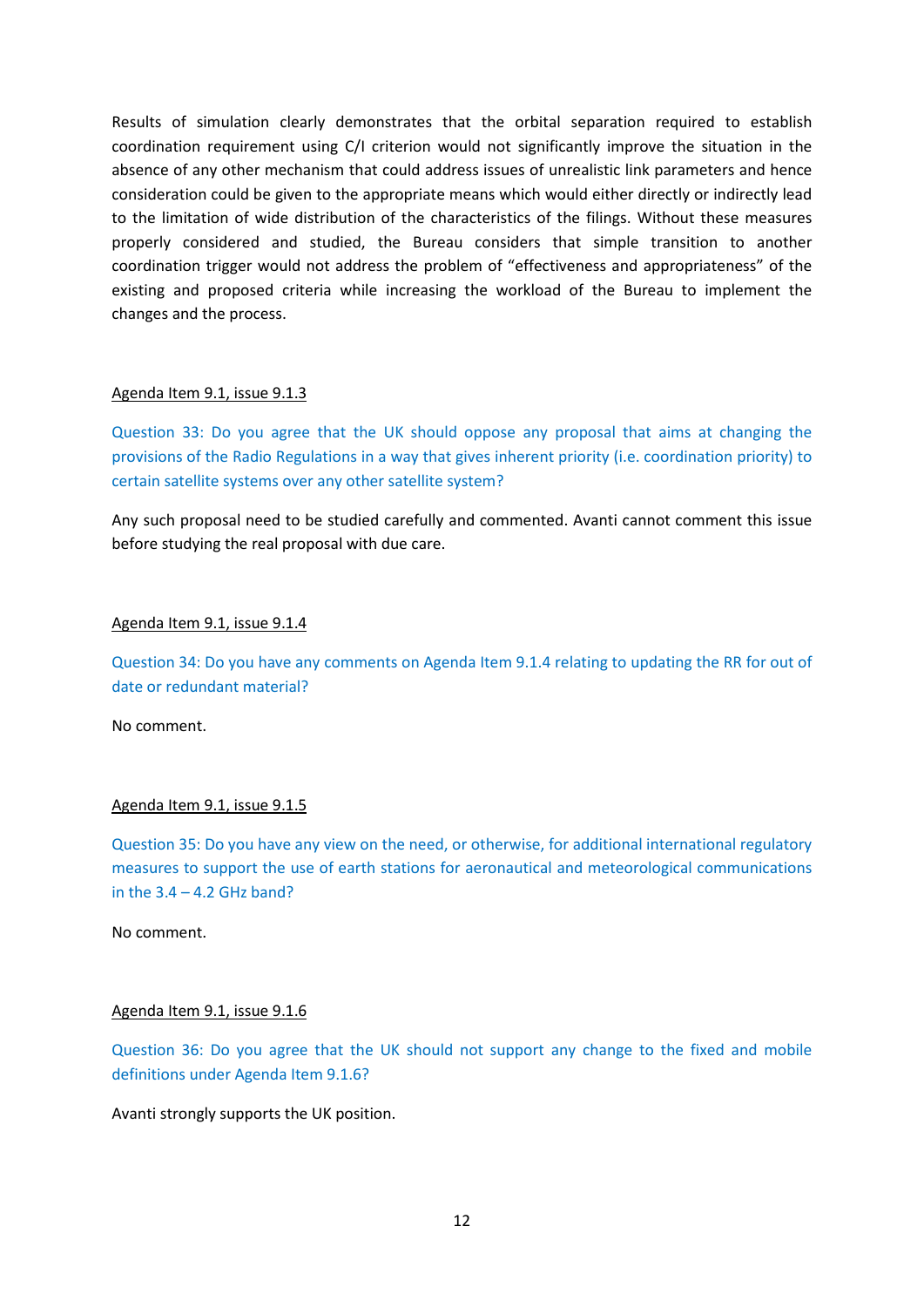Results of simulation clearly demonstrates that the orbital separation required to establish coordination requirement using C/I criterion would not significantly improve the situation in the absence of any other mechanism that could address issues of unrealistic link parameters and hence consideration could be given to the appropriate means which would either directly or indirectly lead to the limitation of wide distribution of the characteristics of the filings. Without these measures properly considered and studied, the Bureau considers that simple transition to another coordination trigger would not address the problem of "effectiveness and appropriateness" of the existing and proposed criteria while increasing the workload of the Bureau to implement the changes and the process.

#### Agenda Item 9.1, issue 9.1.3

Question 33: Do you agree that the UK should oppose any proposal that aims at changing the provisions of the Radio Regulations in a way that gives inherent priority (i.e. coordination priority) to certain satellite systems over any other satellite system?

Any such proposal need to be studied carefully and commented. Avanti cannot comment this issue before studying the real proposal with due care.

### Agenda Item 9.1, issue 9.1.4

Question 34: Do you have any comments on Agenda Item 9.1.4 relating to updating the RR for out of date or redundant material?

No comment.

### Agenda Item 9.1, issue 9.1.5

Question 35: Do you have any view on the need, or otherwise, for additional international regulatory measures to support the use of earth stations for aeronautical and meteorological communications in the  $3.4 - 4.2$  GHz band?

No comment.

### Agenda Item 9.1, issue 9.1.6

Question 36: Do you agree that the UK should not support any change to the fixed and mobile definitions under Agenda Item 9.1.6?

Avanti strongly supports the UK position.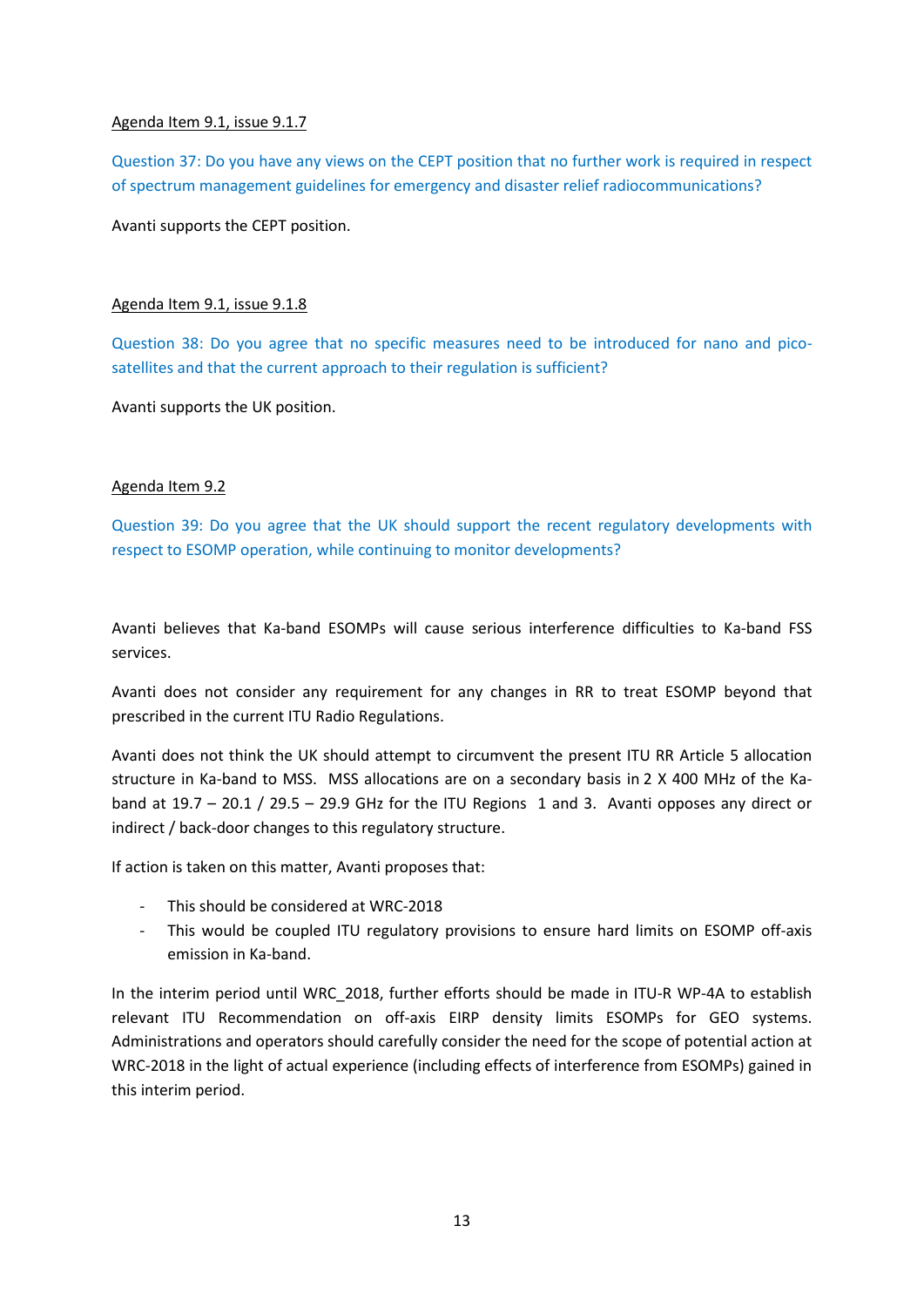### Agenda Item 9.1, issue 9.1.7

Question 37: Do you have any views on the CEPT position that no further work is required in respect of spectrum management guidelines for emergency and disaster relief radiocommunications?

Avanti supports the CEPT position.

### Agenda Item 9.1, issue 9.1.8

Question 38: Do you agree that no specific measures need to be introduced for nano and picosatellites and that the current approach to their regulation is sufficient?

Avanti supports the UK position.

### Agenda Item 9.2

Question 39: Do you agree that the UK should support the recent regulatory developments with respect to ESOMP operation, while continuing to monitor developments?

Avanti believes that Ka-band ESOMPs will cause serious interference difficulties to Ka-band FSS services.

Avanti does not consider any requirement for any changes in RR to treat ESOMP beyond that prescribed in the current ITU Radio Regulations.

Avanti does not think the UK should attempt to circumvent the present ITU RR Article 5 allocation structure in Ka-band to MSS. MSS allocations are on a secondary basis in 2 X 400 MHz of the Kaband at  $19.7 - 20.1 / 29.5 - 29.9$  GHz for the ITU Regions 1 and 3. Avanti opposes any direct or indirect / back-door changes to this regulatory structure.

If action is taken on this matter, Avanti proposes that:

- This should be considered at WRC-2018
- This would be coupled ITU regulatory provisions to ensure hard limits on ESOMP off-axis emission in Ka-band.

In the interim period until WRC\_2018, further efforts should be made in ITU-R WP-4A to establish relevant ITU Recommendation on off-axis EIRP density limits ESOMPs for GEO systems. Administrations and operators should carefully consider the need for the scope of potential action at WRC-2018 in the light of actual experience (including effects of interference from ESOMPs) gained in this interim period.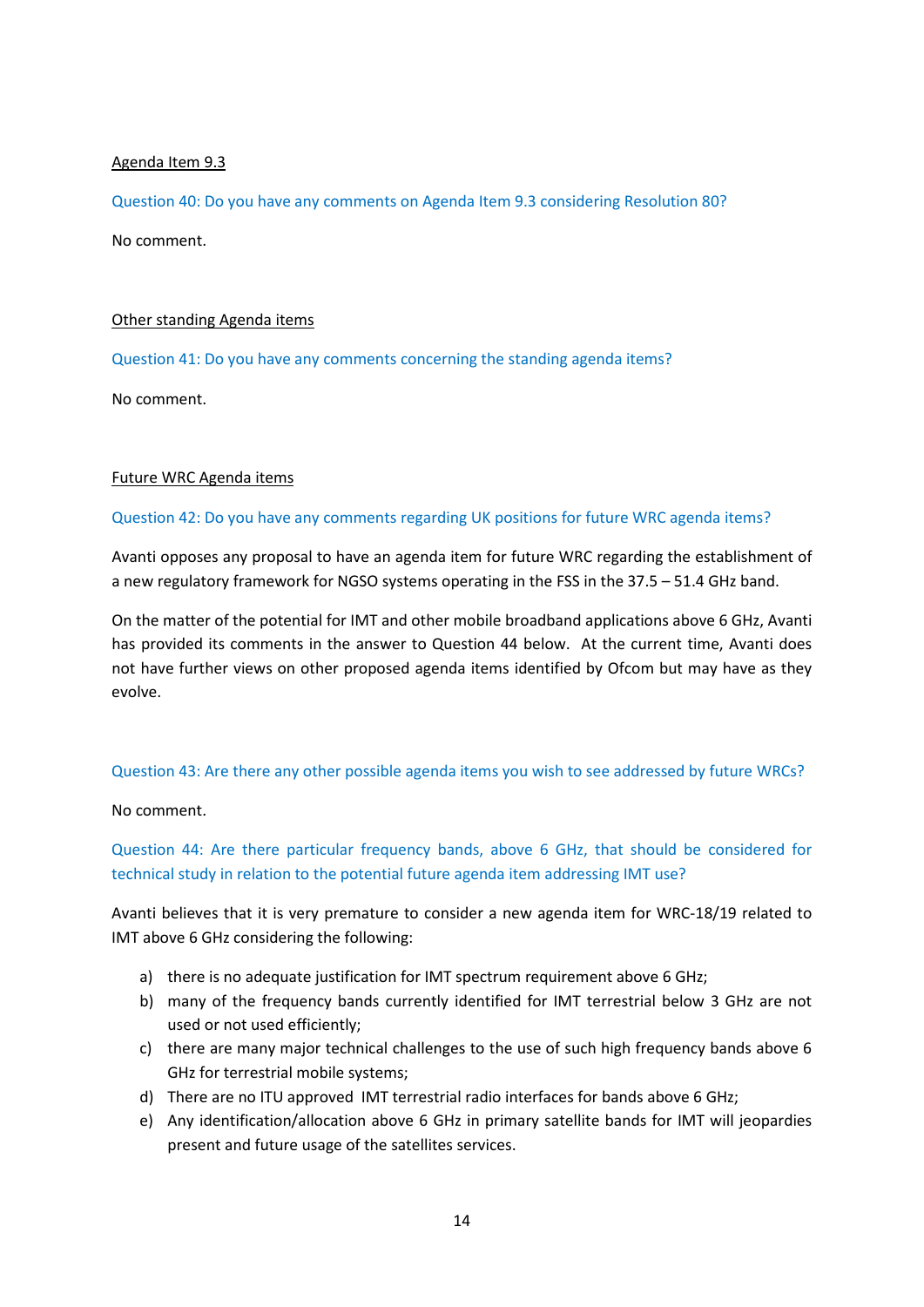### Agenda Item 9.3

Question 40: Do you have any comments on Agenda Item 9.3 considering Resolution 80? No comment.

### Other standing Agenda items

Question 41: Do you have any comments concerning the standing agenda items?

No comment.

### Future WRC Agenda items

### Question 42: Do you have any comments regarding UK positions for future WRC agenda items?

Avanti opposes any proposal to have an agenda item for future WRC regarding the establishment of a new regulatory framework for NGSO systems operating in the FSS in the 37.5 – 51.4 GHz band.

On the matter of the potential for IMT and other mobile broadband applications above 6 GHz, Avanti has provided its comments in the answer to Question 44 below. At the current time, Avanti does not have further views on other proposed agenda items identified by Ofcom but may have as they evolve.

### Question 43: Are there any other possible agenda items you wish to see addressed by future WRCs?

No comment.

Question 44: Are there particular frequency bands, above 6 GHz, that should be considered for technical study in relation to the potential future agenda item addressing IMT use?

Avanti believes that it is very premature to consider a new agenda item for WRC-18/19 related to IMT above 6 GHz considering the following:

- a) there is no adequate justification for IMT spectrum requirement above 6 GHz;
- b) many of the frequency bands currently identified for IMT terrestrial below 3 GHz are not used or not used efficiently;
- c) there are many major technical challenges to the use of such high frequency bands above 6 GHz for terrestrial mobile systems;
- d) There are no ITU approved IMT terrestrial radio interfaces for bands above 6 GHz;
- e) Any identification/allocation above 6 GHz in primary satellite bands for IMT will jeopardies present and future usage of the satellites services.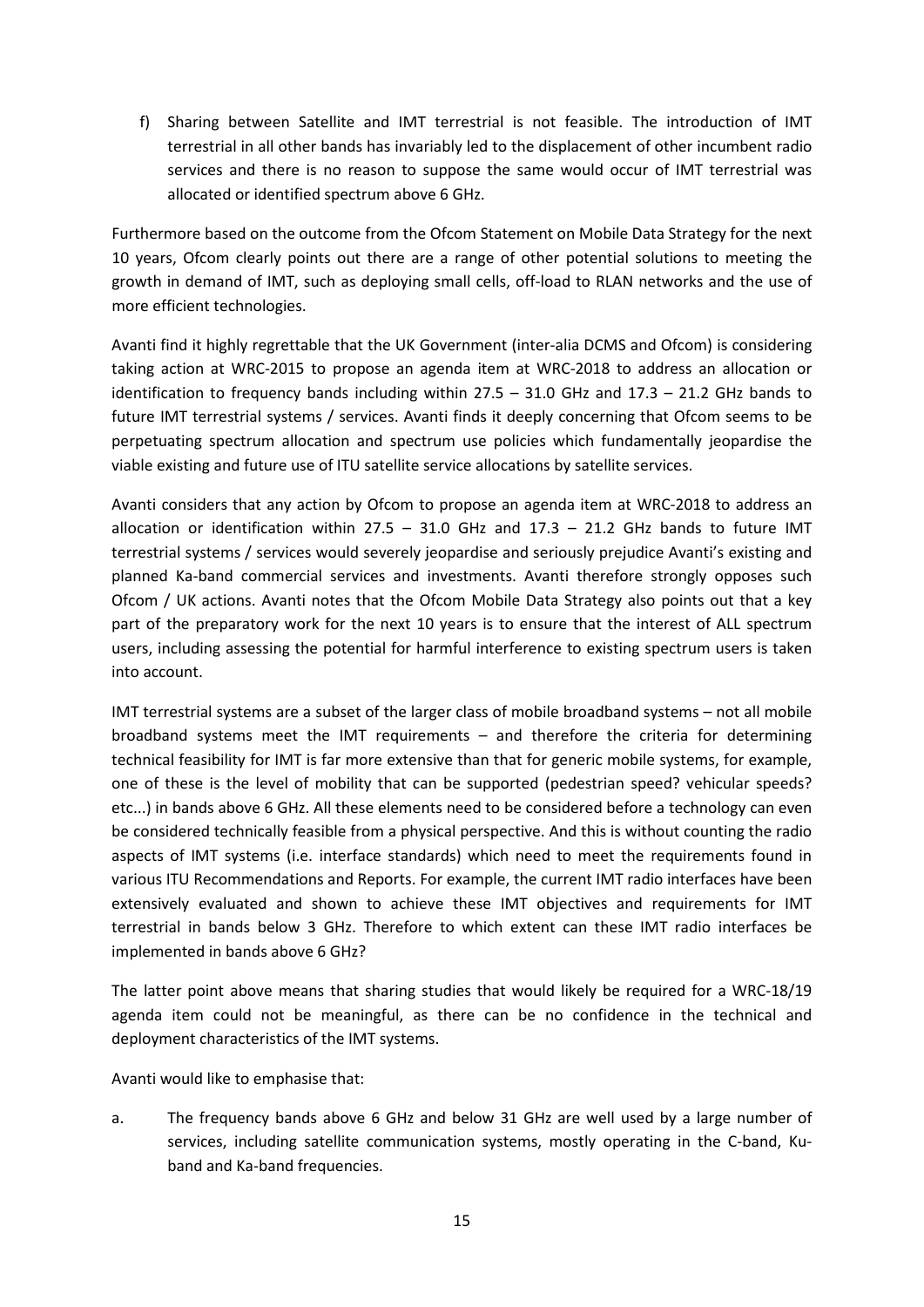f) Sharing between Satellite and IMT terrestrial is not feasible. The introduction of IMT terrestrial in all other bands has invariably led to the displacement of other incumbent radio services and there is no reason to suppose the same would occur of IMT terrestrial was allocated or identified spectrum above 6 GHz.

Furthermore based on the outcome from the Ofcom Statement on Mobile Data Strategy for the next 10 years, Ofcom clearly points out there are a range of other potential solutions to meeting the growth in demand of IMT, such as deploying small cells, off-load to RLAN networks and the use of more efficient technologies.

Avanti find it highly regrettable that the UK Government (inter-alia DCMS and Ofcom) is considering taking action at WRC-2015 to propose an agenda item at WRC-2018 to address an allocation or identification to frequency bands including within  $27.5 - 31.0$  GHz and  $17.3 - 21.2$  GHz bands to future IMT terrestrial systems / services. Avanti finds it deeply concerning that Ofcom seems to be perpetuating spectrum allocation and spectrum use policies which fundamentally jeopardise the viable existing and future use of ITU satellite service allocations by satellite services.

Avanti considers that any action by Ofcom to propose an agenda item at WRC-2018 to address an allocation or identification within  $27.5 - 31.0$  GHz and  $17.3 - 21.2$  GHz bands to future IMT terrestrial systems / services would severely jeopardise and seriously prejudice Avanti's existing and planned Ka-band commercial services and investments. Avanti therefore strongly opposes such Ofcom / UK actions. Avanti notes that the Ofcom Mobile Data Strategy also points out that a key part of the preparatory work for the next 10 years is to ensure that the interest of ALL spectrum users, including assessing the potential for harmful interference to existing spectrum users is taken into account.

IMT terrestrial systems are a subset of the larger class of mobile broadband systems – not all mobile broadband systems meet the IMT requirements  $-$  and therefore the criteria for determining technical feasibility for IMT is far more extensive than that for generic mobile systems, for example, one of these is the level of mobility that can be supported (pedestrian speed? vehicular speeds? etc...) in bands above 6 GHz. All these elements need to be considered before a technology can even be considered technically feasible from a physical perspective. And this is without counting the radio aspects of IMT systems (i.e. interface standards) which need to meet the requirements found in various ITU Recommendations and Reports. For example, the current IMT radio interfaces have been extensively evaluated and shown to achieve these IMT objectives and requirements for IMT terrestrial in bands below 3 GHz. Therefore to which extent can these IMT radio interfaces be implemented in bands above 6 GHz?

The latter point above means that sharing studies that would likely be required for a WRC-18/19 agenda item could not be meaningful, as there can be no confidence in the technical and deployment characteristics of the IMT systems.

Avanti would like to emphasise that:

a. The frequency bands above 6 GHz and below 31 GHz are well used by a large number of services, including satellite communication systems, mostly operating in the C-band, Kuband and Ka-band frequencies.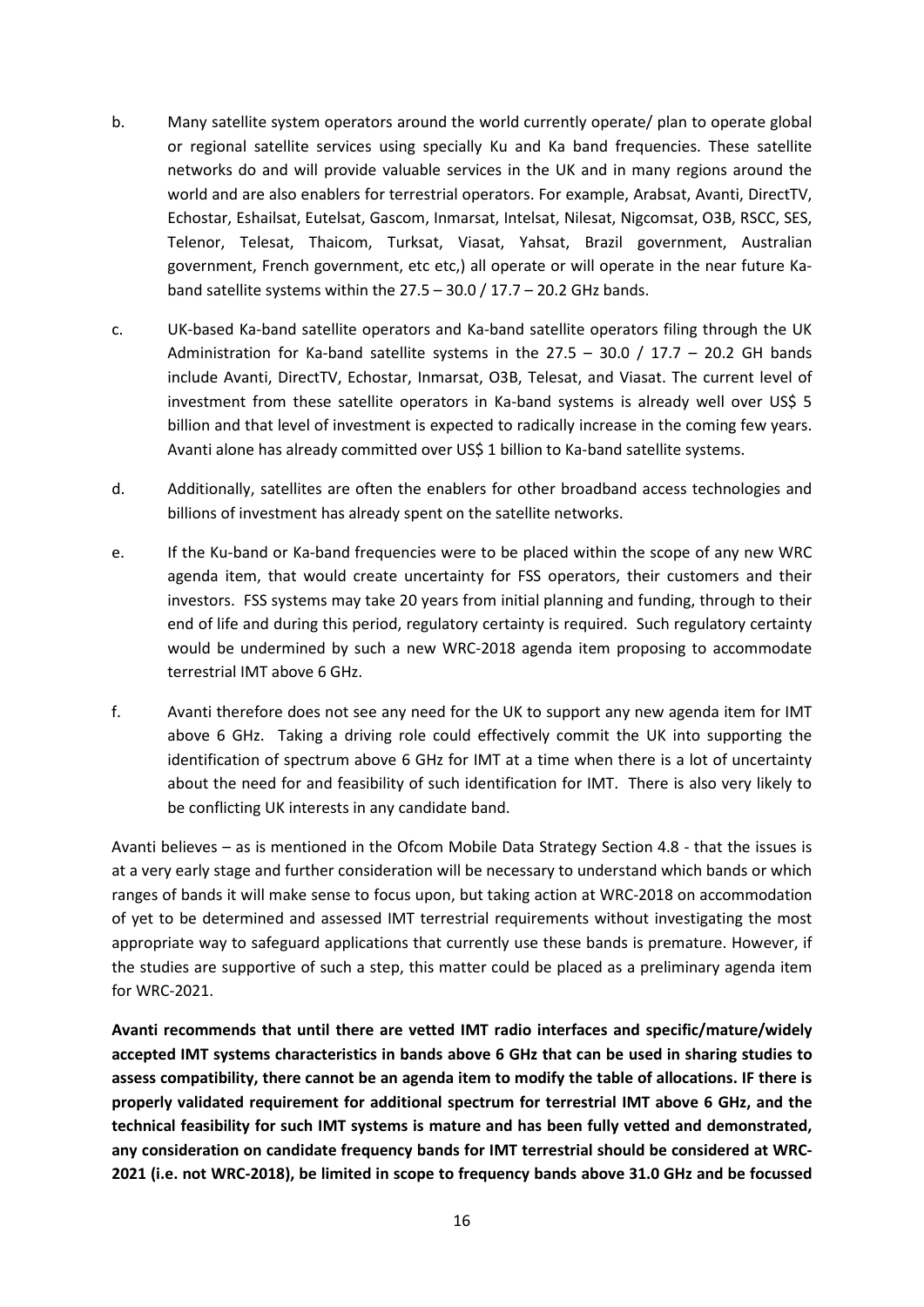- b. Many satellite system operators around the world currently operate/ plan to operate global or regional satellite services using specially Ku and Ka band frequencies. These satellite networks do and will provide valuable services in the UK and in many regions around the world and are also enablers for terrestrial operators. For example, Arabsat, Avanti, DirectTV, Echostar, Eshailsat, Eutelsat, Gascom, Inmarsat, Intelsat, Nilesat, Nigcomsat, O3B, RSCC, SES, Telenor, Telesat, Thaicom, Turksat, Viasat, Yahsat, Brazil government, Australian government, French government, etc etc,) all operate or will operate in the near future Kaband satellite systems within the  $27.5 - 30.0 / 17.7 - 20.2$  GHz bands.
- c. UK-based Ka-band satellite operators and Ka-band satellite operators filing through the UK Administration for Ka-band satellite systems in the 27.5 - 30.0 / 17.7 - 20.2 GH bands include Avanti, DirectTV, Echostar, Inmarsat, O3B, Telesat, and Viasat. The current level of investment from these satellite operators in Ka-band systems is already well over US\$ 5 billion and that level of investment is expected to radically increase in the coming few years. Avanti alone has already committed over US\$ 1 billion to Ka-band satellite systems.
- d. Additionally, satellites are often the enablers for other broadband access technologies and billions of investment has already spent on the satellite networks.
- e. If the Ku-band or Ka-band frequencies were to be placed within the scope of any new WRC agenda item, that would create uncertainty for FSS operators, their customers and their investors. FSS systems may take 20 years from initial planning and funding, through to their end of life and during this period, regulatory certainty is required. Such regulatory certainty would be undermined by such a new WRC-2018 agenda item proposing to accommodate terrestrial IMT above 6 GHz.
- f. Avanti therefore does not see any need for the UK to support any new agenda item for IMT above 6 GHz. Taking a driving role could effectively commit the UK into supporting the identification of spectrum above 6 GHz for IMT at a time when there is a lot of uncertainty about the need for and feasibility of such identification for IMT. There is also very likely to be conflicting UK interests in any candidate band.

Avanti believes – as is mentioned in the Ofcom Mobile Data Strategy Section 4.8 - that the issues is at a very early stage and further consideration will be necessary to understand which bands or which ranges of bands it will make sense to focus upon, but taking action at WRC-2018 on accommodation of yet to be determined and assessed IMT terrestrial requirements without investigating the most appropriate way to safeguard applications that currently use these bands is premature. However, if the studies are supportive of such a step, this matter could be placed as a preliminary agenda item for WRC-2021.

**Avanti recommends that until there are vetted IMT radio interfaces and specific/mature/widely accepted IMT systems characteristics in bands above 6 GHz that can be used in sharing studies to assess compatibility, there cannot be an agenda item to modify the table of allocations. IF there is properly validated requirement for additional spectrum for terrestrial IMT above 6 GHz, and the technical feasibility for such IMT systems is mature and has been fully vetted and demonstrated, any consideration on candidate frequency bands for IMT terrestrial should be considered at WRC-2021 (i.e. not WRC-2018), be limited in scope to frequency bands above 31.0 GHz and be focussed**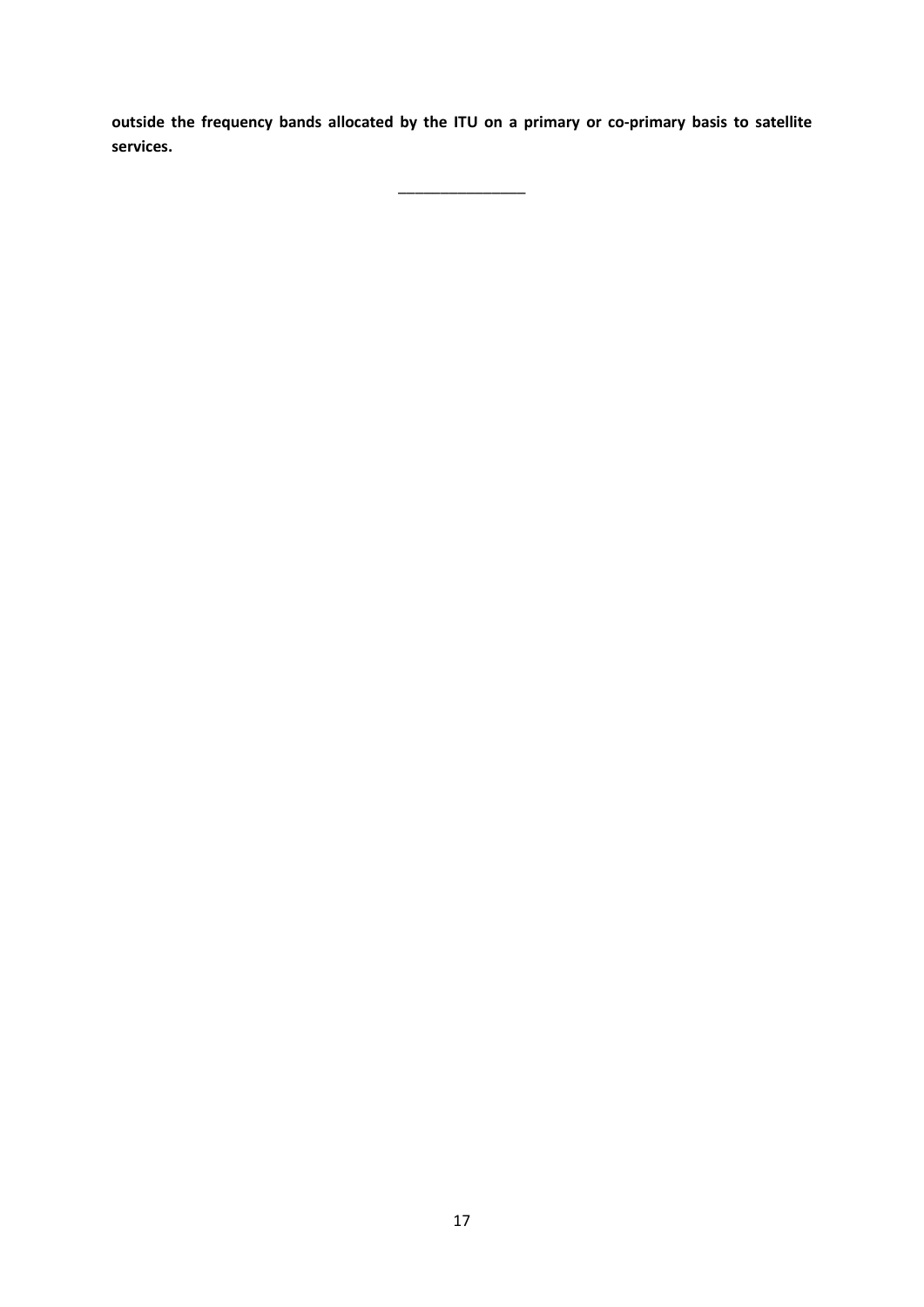**outside the frequency bands allocated by the ITU on a primary or co-primary basis to satellite services.**

 $\overline{\phantom{a}}$  , we can also the contract of the contract of the contract of the contract of the contract of the contract of the contract of the contract of the contract of the contract of the contract of the contract of the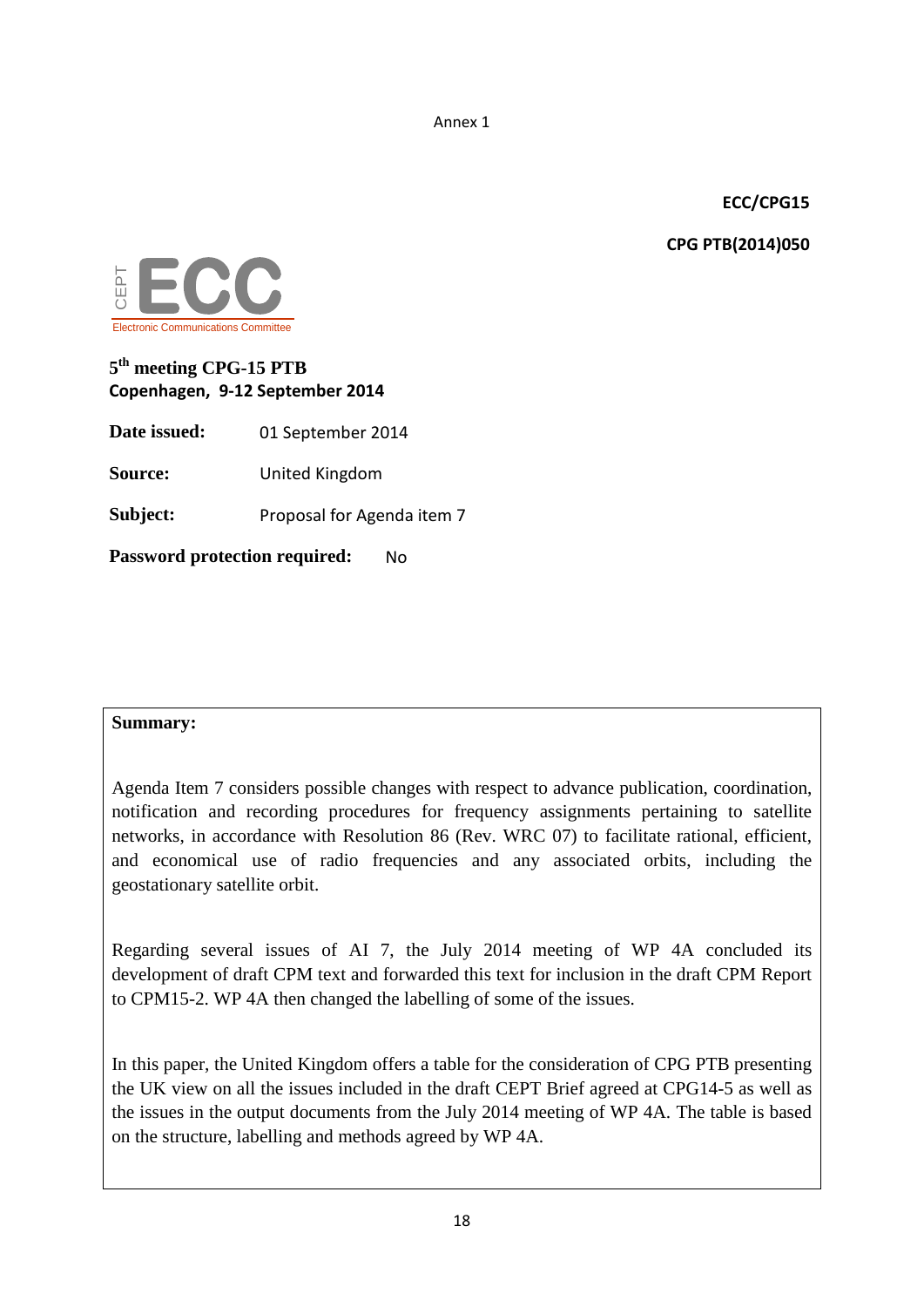Annex 1

# **ECC/CPG15**

**CPG PTB(2014)050**



# **5th meeting CPG-15 PTB Copenhagen, 9-12 September 2014**

**Date issued:** 01 September 2014

**Source:** United Kingdom

**Subject:** Proposal for Agenda item 7

**Password protection required:** No

# **Summary:**

Agenda Item 7 considers possible changes with respect to advance publication, coordination, notification and recording procedures for frequency assignments pertaining to satellite networks, in accordance with Resolution 86 (Rev. WRC 07) to facilitate rational, efficient, and economical use of radio frequencies and any associated orbits, including the geostationary satellite orbit.

Regarding several issues of AI 7, the July 2014 meeting of WP 4A concluded its development of draft CPM text and forwarded this text for inclusion in the draft CPM Report to CPM15-2. WP 4A then changed the labelling of some of the issues.

In this paper, the United Kingdom offers a table for the consideration of CPG PTB presenting the UK view on all the issues included in the draft CEPT Brief agreed at CPG14-5 as well as the issues in the output documents from the July 2014 meeting of WP 4A. The table is based on the structure, labelling and methods agreed by WP 4A.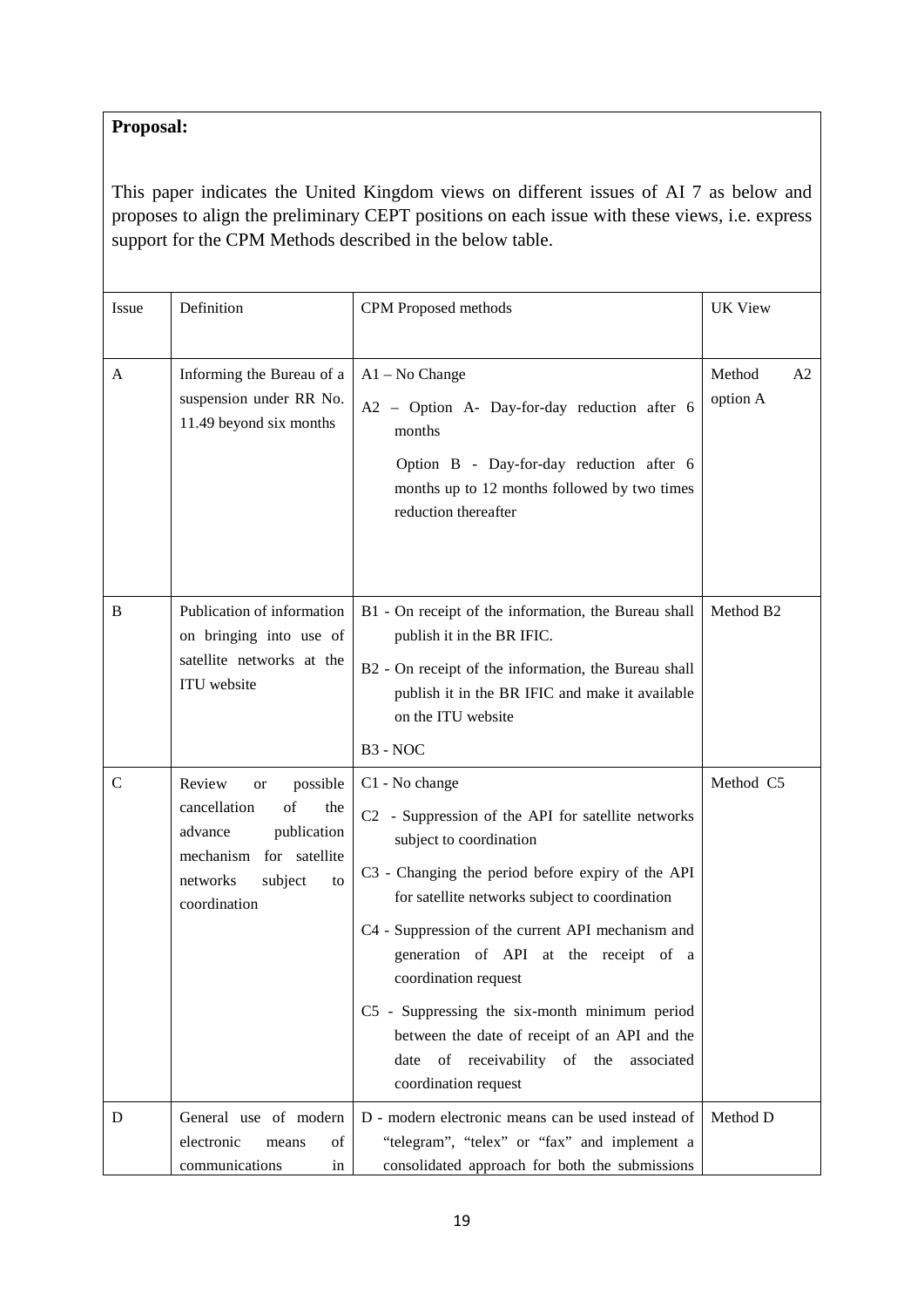# **Proposal:**

This paper indicates the United Kingdom views on different issues of AI 7 as below and proposes to align the preliminary CEPT positions on each issue with these views, i.e. express support for the CPM Methods described in the below table.

| Issue       | Definition                                                                                                                                              | CPM Proposed methods                                                                                                                                                                                                                                                                                                                                                                                                                                                                                    | <b>UK View</b>                       |
|-------------|---------------------------------------------------------------------------------------------------------------------------------------------------------|---------------------------------------------------------------------------------------------------------------------------------------------------------------------------------------------------------------------------------------------------------------------------------------------------------------------------------------------------------------------------------------------------------------------------------------------------------------------------------------------------------|--------------------------------------|
| A           | Informing the Bureau of a<br>suspension under RR No.<br>11.49 beyond six months                                                                         | $A1 - No Change$<br>A2 - Option A- Day-for-day reduction after 6<br>months<br>Option B - Day-for-day reduction after 6<br>months up to 12 months followed by two times<br>reduction thereafter                                                                                                                                                                                                                                                                                                          | Method<br>A <sub>2</sub><br>option A |
| B           | Publication of information<br>on bringing into use of<br>satellite networks at the<br>ITU website                                                       | B1 - On receipt of the information, the Bureau shall<br>publish it in the BR IFIC.<br>B2 - On receipt of the information, the Bureau shall<br>publish it in the BR IFIC and make it available<br>on the ITU website<br>B <sub>3</sub> - NOC                                                                                                                                                                                                                                                             | Method B <sub>2</sub>                |
| $\mathbf C$ | Review<br>possible<br>or<br>cancellation<br>of<br>the<br>publication<br>advance<br>mechanism for satellite<br>networks<br>subject<br>to<br>coordination | C1 - No change<br>C2 - Suppression of the API for satellite networks<br>subject to coordination<br>C3 - Changing the period before expiry of the API<br>for satellite networks subject to coordination<br>C4 - Suppression of the current API mechanism and<br>generation of API at the receipt of a<br>coordination request<br>C5 - Suppressing the six-month minimum period<br>between the date of receipt of an API and the<br>of receivability of the<br>date<br>associated<br>coordination request | Method C5                            |
| D           | General use of modern<br>electronic<br>of<br>means<br>communications<br>in                                                                              | D - modern electronic means can be used instead of<br>"telegram", "telex" or "fax" and implement a<br>consolidated approach for both the submissions                                                                                                                                                                                                                                                                                                                                                    | Method D                             |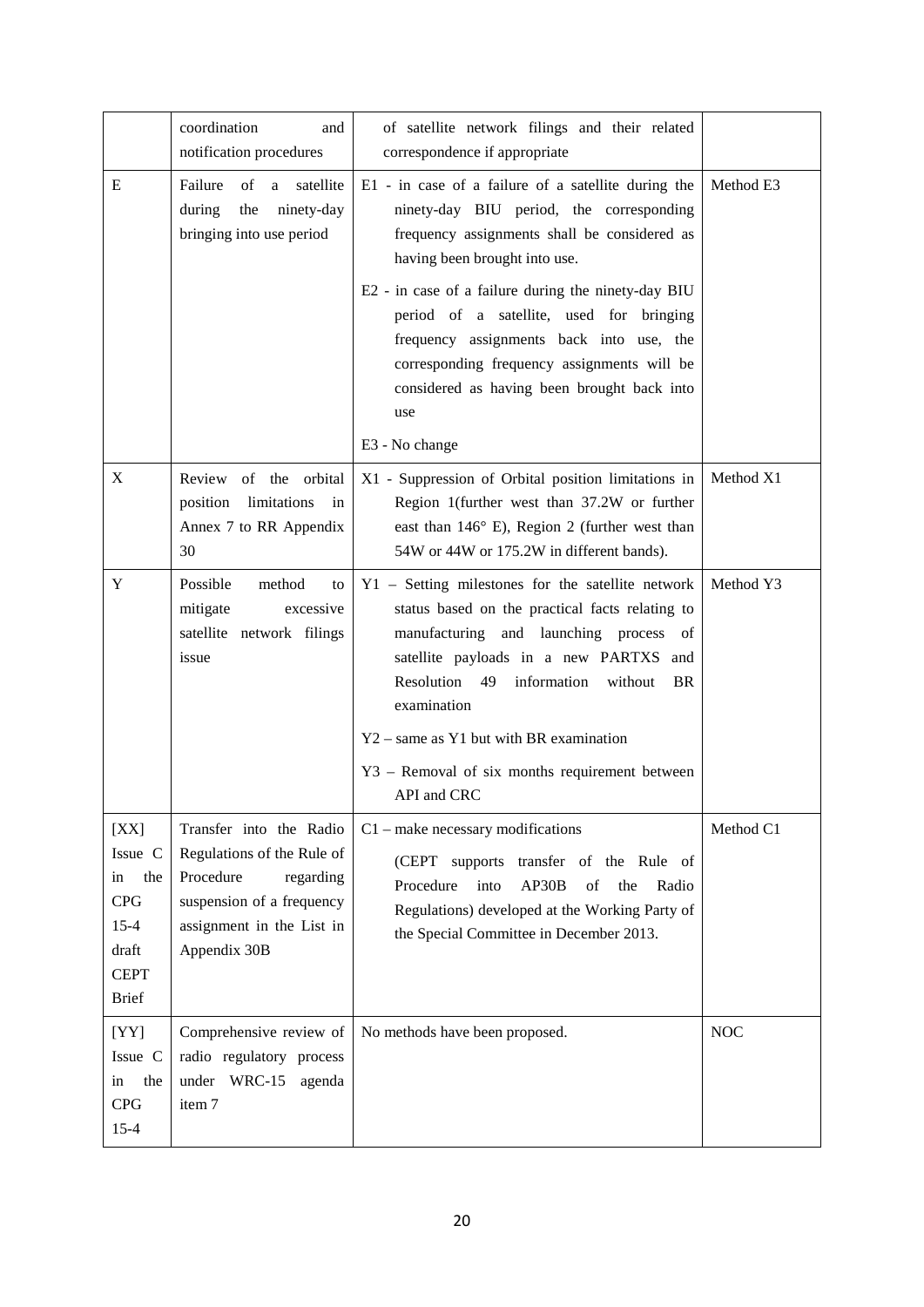|                                                                                                | coordination<br>and<br>notification procedures                                                                                                            | of satellite network filings and their related<br>correspondence if appropriate                                                                                                                                                                                                                                                                                                                                                                        |            |
|------------------------------------------------------------------------------------------------|-----------------------------------------------------------------------------------------------------------------------------------------------------------|--------------------------------------------------------------------------------------------------------------------------------------------------------------------------------------------------------------------------------------------------------------------------------------------------------------------------------------------------------------------------------------------------------------------------------------------------------|------------|
| E                                                                                              | Failure<br>a satellite<br>of<br>during<br>the<br>ninety-day<br>bringing into use period                                                                   | E1 - in case of a failure of a satellite during the<br>ninety-day BIU period, the corresponding<br>frequency assignments shall be considered as<br>having been brought into use.<br>E2 - in case of a failure during the ninety-day BIU<br>period of a satellite, used for bringing<br>frequency assignments back into use, the<br>corresponding frequency assignments will be<br>considered as having been brought back into<br>use<br>E3 - No change | Method E3  |
| X                                                                                              | Review of the orbital<br>limitations<br>position<br>in<br>Annex 7 to RR Appendix<br>30                                                                    | X1 - Suppression of Orbital position limitations in<br>Region 1(further west than 37.2W or further<br>east than $146^{\circ}$ E), Region 2 (further west than<br>54W or 44W or 175.2W in different bands).                                                                                                                                                                                                                                             | Method X1  |
| Y                                                                                              | Possible<br>method<br>to<br>mitigate<br>excessive<br>satellite network filings<br>issue                                                                   | Y1 - Setting milestones for the satellite network<br>status based on the practical facts relating to<br>manufacturing and launching process of<br>satellite payloads in a new PARTXS and<br>Resolution 49<br>information<br>without<br>BR<br>examination<br>$Y2$ – same as Y1 but with BR examination<br>Y3 – Removal of six months requirement between<br>API and CRC                                                                                 | Method Y3  |
| [XX]<br>Issue C<br>the<br>in<br><b>CPG</b><br>$15 - 4$<br>draft<br><b>CEPT</b><br><b>Brief</b> | Transfer into the Radio<br>Regulations of the Rule of<br>Procedure<br>regarding<br>suspension of a frequency<br>assignment in the List in<br>Appendix 30B | $C1$ – make necessary modifications<br>(CEPT supports transfer of the Rule of<br>Procedure<br>into<br>AP30B<br>of<br>the<br>Radio<br>Regulations) developed at the Working Party of<br>the Special Committee in December 2013.                                                                                                                                                                                                                         | Method C1  |
| [YY]<br>Issue C<br>the<br>in<br><b>CPG</b><br>$15 - 4$                                         | Comprehensive review of<br>radio regulatory process<br>under WRC-15<br>agenda<br>item 7                                                                   | No methods have been proposed.                                                                                                                                                                                                                                                                                                                                                                                                                         | <b>NOC</b> |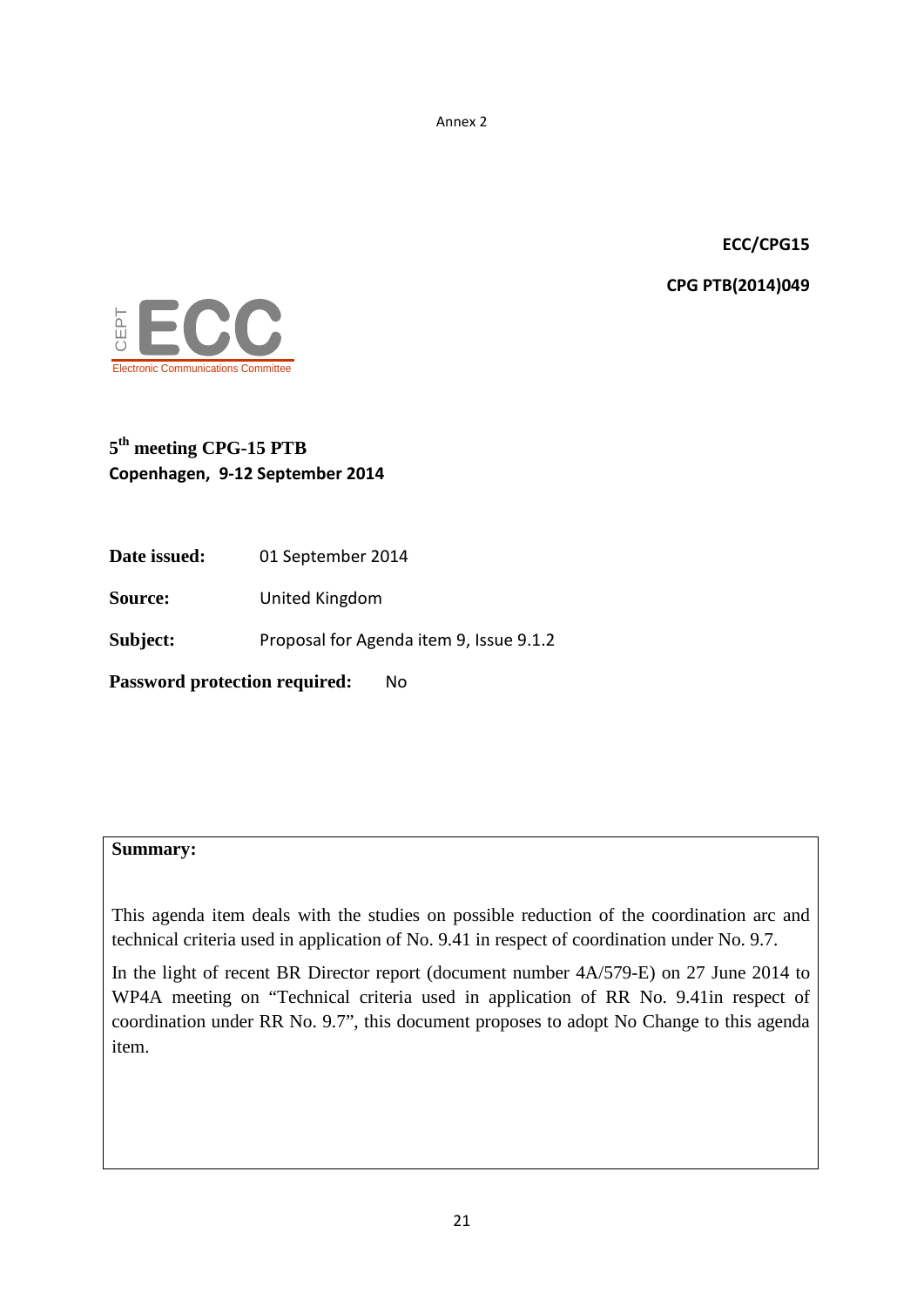Annex 2

**ECC/CPG15**

**CPG PTB(2014)049**



# **5th meeting CPG-15 PTB Copenhagen, 9-12 September 2014**

**Date issued:** 01 September 2014

**Source:** United Kingdom

Subject: Proposal for Agenda item 9, Issue 9.1.2

**Password protection required:** No

## **Summary:**

This agenda item deals with the studies on possible reduction of the coordination arc and technical criteria used in application of No. 9.41 in respect of coordination under No. 9.7.

In the light of recent BR Director report (document number 4A/579-E) on 27 June 2014 to WP4A meeting on "Technical criteria used in application of RR No. 9.41in respect of coordination under RR No. 9.7", this document proposes to adopt No Change to this agenda item.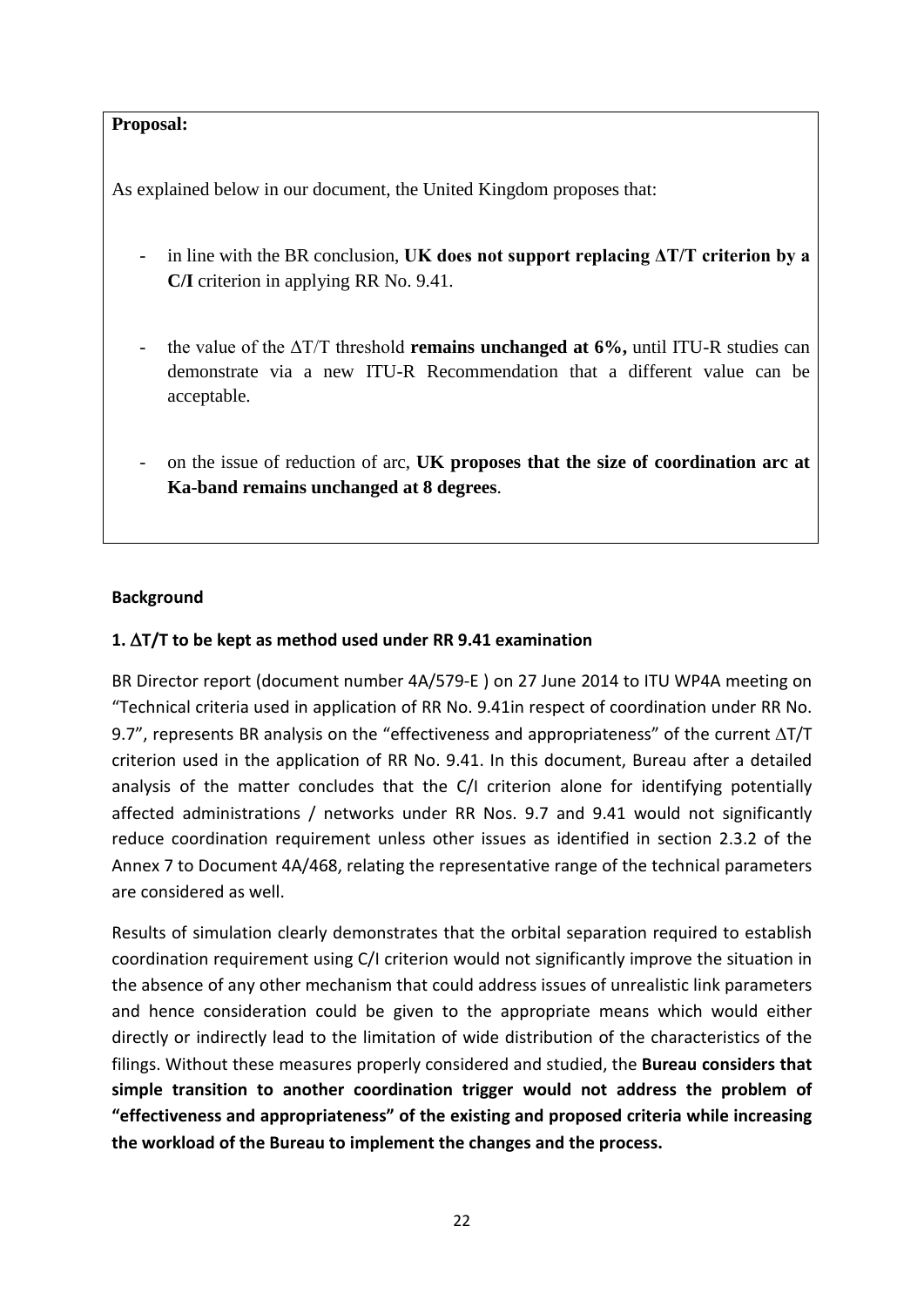# **Proposal:**

As explained below in our document, the United Kingdom proposes that:

- in line with the BR conclusion, **UK does not support replacing ΔT/T criterion by a C/I** criterion in applying RR No. 9.41.
- the value of the ΔT/T threshold **remains unchanged at 6%,** until ITU-R studies can demonstrate via a new ITU-R Recommendation that a different value can be acceptable.
- on the issue of reduction of arc, **UK proposes that the size of coordination arc at Ka-band remains unchanged at 8 degrees**.

# **Background**

# **1.** ∆**T/T to be kept as method used under RR 9.41 examination**

BR Director report (document number 4A/579-E ) on 27 June 2014 to ITU WP4A meeting on "Technical criteria used in application of RR No. 9.41in respect of coordination under RR No. 9.7", represents BR analysis on the "effectiveness and appropriateness" of the current ∆T/T criterion used in the application of RR No. 9.41. In this document, Bureau after a detailed analysis of the matter concludes that the C/I criterion alone for identifying potentially affected administrations / networks under RR Nos. 9.7 and 9.41 would not significantly reduce coordination requirement unless other issues as identified in section 2.3.2 of the Annex 7 to Document 4A/468, relating the representative range of the technical parameters are considered as well.

Results of simulation clearly demonstrates that the orbital separation required to establish coordination requirement using C/I criterion would not significantly improve the situation in the absence of any other mechanism that could address issues of unrealistic link parameters and hence consideration could be given to the appropriate means which would either directly or indirectly lead to the limitation of wide distribution of the characteristics of the filings. Without these measures properly considered and studied, the **Bureau considers that simple transition to another coordination trigger would not address the problem of "effectiveness and appropriateness" of the existing and proposed criteria while increasing the workload of the Bureau to implement the changes and the process.**